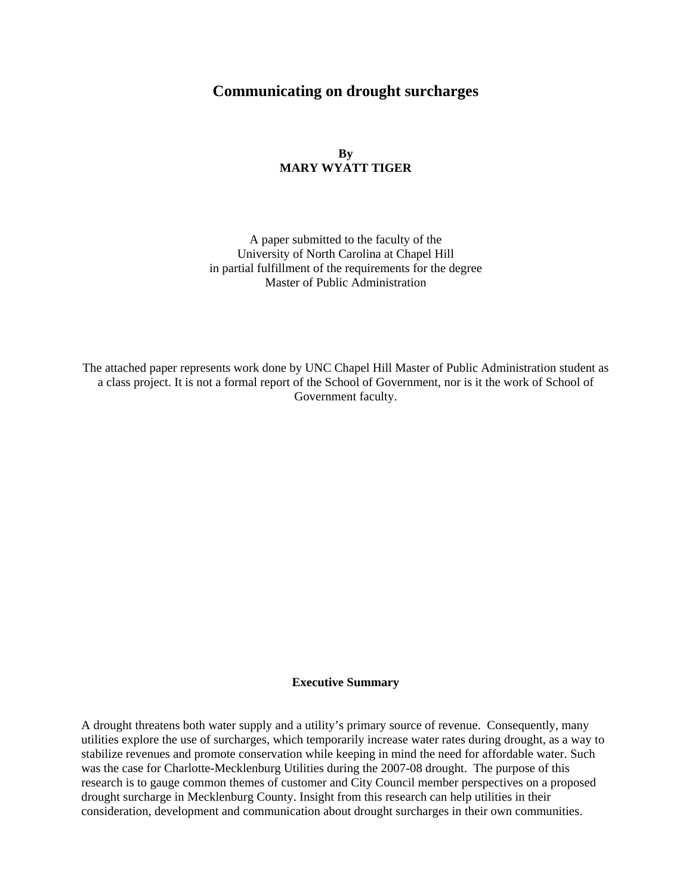## **Communicating on drought surcharges**

## **By MARY WYATT TIGER**

A paper submitted to the faculty of the University of North Carolina at Chapel Hill in partial fulfillment of the requirements for the degree Master of Public Administration

The attached paper represents work done by UNC Chapel Hill Master of Public Administration student as a class project. It is not a formal report of the School of Government, nor is it the work of School of Government faculty.

#### **Executive Summary**

A drought threatens both water supply and a utility's primary source of revenue. Consequently, many utilities explore the use of surcharges, which temporarily increase water rates during drought, as a way to stabilize revenues and promote conservation while keeping in mind the need for affordable water. Such was the case for Charlotte-Mecklenburg Utilities during the 2007-08 drought. The purpose of this research is to gauge common themes of customer and City Council member perspectives on a proposed drought surcharge in Mecklenburg County. Insight from this research can help utilities in their consideration, development and communication about drought surcharges in their own communities.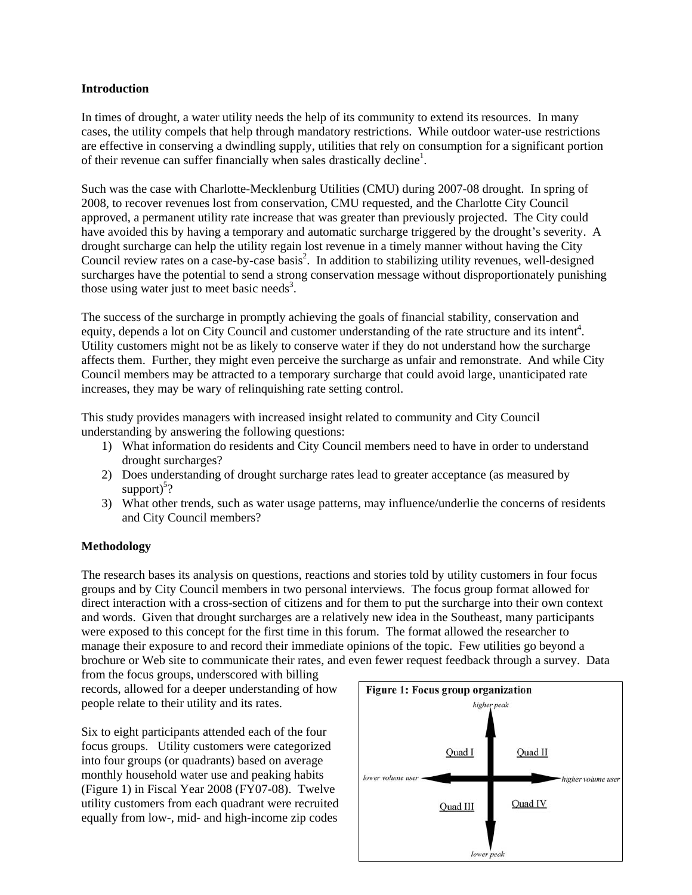#### **Introduction**

In times of drought, a water utility needs the help of its community to extend its resources. In many cases, the utility compels that help through mandatory restrictions. While outdoor water-use restrictions are effective in conserving a dwindling supply, utilities that rely on consumption for a significant portion of their revenue can suffer financially when sales drastically decline<sup>1</sup>.

Such was the case with Charlotte-Mecklenburg Utilities (CMU) during 2007-08 drought. In spring of 2008, to recover revenues lost from conservation, CMU requested, and the Charlotte City Council approved, a permanent utility rate increase that was greater than previously projected. The City could have avoided this by having a temporary and automatic surcharge triggered by the drought's severity. A drought surcharge can help the utility regain lost revenue in a timely manner without having the City Council review rates on a case-by-case basis<sup>2</sup>. In addition to stabilizing utility revenues, well-designed surcharges have the potential to send a strong conservation message without disproportionately punishing those using water just to meet basic needs<sup>3</sup>.

The success of the surcharge in promptly achieving the goals of financial stability, conservation and equity, depends a lot on City Council and customer understanding of the rate structure and its intent<sup>4</sup>. Utility customers might not be as likely to conserve water if they do not understand how the surcharge affects them. Further, they might even perceive the surcharge as unfair and remonstrate. And while City Council members may be attracted to a temporary surcharge that could avoid large, unanticipated rate increases, they may be wary of relinquishing rate setting control.

This study provides managers with increased insight related to community and City Council understanding by answering the following questions:

- 1) What information do residents and City Council members need to have in order to understand drought surcharges?
- 2) Does understanding of drought surcharge rates lead to greater acceptance (as measured by support) $5$ ?
- 3) What other trends, such as water usage patterns, may influence/underlie the concerns of residents and City Council members?

### **Methodology**

The research bases its analysis on questions, reactions and stories told by utility customers in four focus groups and by City Council members in two personal interviews. The focus group format allowed for direct interaction with a cross-section of citizens and for them to put the surcharge into their own context and words. Given that drought surcharges are a relatively new idea in the Southeast, many participants were exposed to this concept for the first time in this forum. The format allowed the researcher to manage their exposure to and record their immediate opinions of the topic. Few utilities go beyond a brochure or Web site to communicate their rates, and even fewer request feedback through a survey. Data

from the focus groups, underscored with billing records, allowed for a deeper understanding of how people relate to their utility and its rates.

Six to eight participants attended each of the four focus groups. Utility customers were categorized into four groups (or quadrants) based on average monthly household water use and peaking habits (Figure 1) in Fiscal Year 2008 (FY07-08). Twelve utility customers from each quadrant were recruited equally from low-, mid- and high-income zip codes

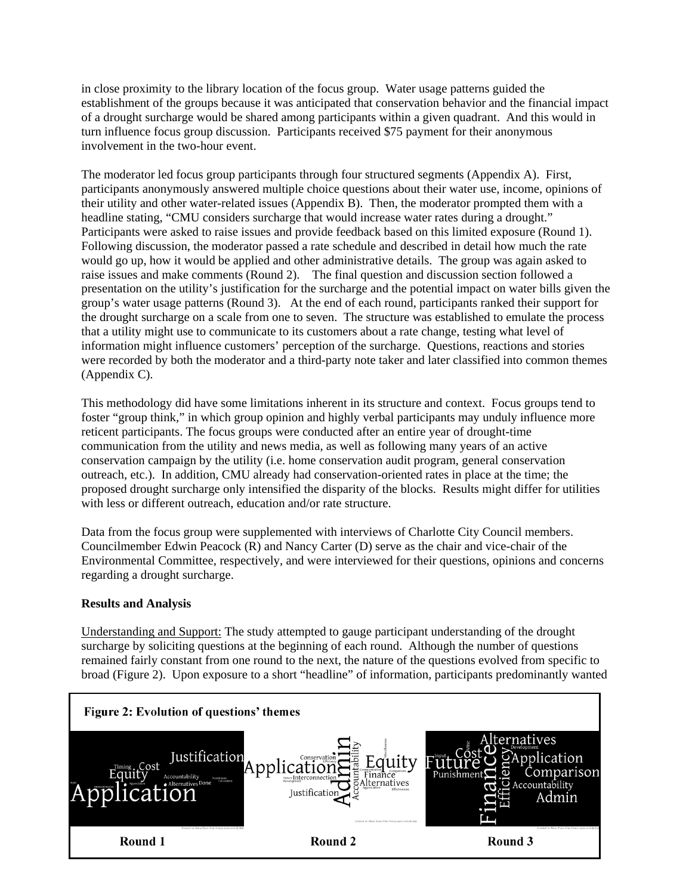in close proximity to the library location of the focus group. Water usage patterns guided the establishment of the groups because it was anticipated that conservation behavior and the financial impact of a drought surcharge would be shared among participants within a given quadrant. And this would in turn influence focus group discussion. Participants received \$75 payment for their anonymous involvement in the two-hour event.

The moderator led focus group participants through four structured segments (Appendix A). First, participants anonymously answered multiple choice questions about their water use, income, opinions of their utility and other water-related issues (Appendix B). Then, the moderator prompted them with a headline stating, "CMU considers surcharge that would increase water rates during a drought." Participants were asked to raise issues and provide feedback based on this limited exposure (Round 1). Following discussion, the moderator passed a rate schedule and described in detail how much the rate would go up, how it would be applied and other administrative details. The group was again asked to raise issues and make comments (Round 2). The final question and discussion section followed a presentation on the utility's justification for the surcharge and the potential impact on water bills given the group's water usage patterns (Round 3). At the end of each round, participants ranked their support for the drought surcharge on a scale from one to seven. The structure was established to emulate the process that a utility might use to communicate to its customers about a rate change, testing what level of information might influence customers' perception of the surcharge. Questions, reactions and stories were recorded by both the moderator and a third-party note taker and later classified into common themes (Appendix C).

This methodology did have some limitations inherent in its structure and context. Focus groups tend to foster "group think," in which group opinion and highly verbal participants may unduly influence more reticent participants. The focus groups were conducted after an entire year of drought-time communication from the utility and news media, as well as following many years of an active conservation campaign by the utility (i.e. home conservation audit program, general conservation outreach, etc.). In addition, CMU already had conservation-oriented rates in place at the time; the proposed drought surcharge only intensified the disparity of the blocks. Results might differ for utilities with less or different outreach, education and/or rate structure.

Data from the focus group were supplemented with interviews of Charlotte City Council members. Councilmember Edwin Peacock (R) and Nancy Carter (D) serve as the chair and vice-chair of the Environmental Committee, respectively, and were interviewed for their questions, opinions and concerns regarding a drought surcharge.

## **Results and Analysis**

Understanding and Support: The study attempted to gauge participant understanding of the drought surcharge by soliciting questions at the beginning of each round. Although the number of questions remained fairly constant from one round to the next, the nature of the questions evolved from specific to broad (Figure 2). Upon exposure to a short "headline" of information, participants predominantly wanted

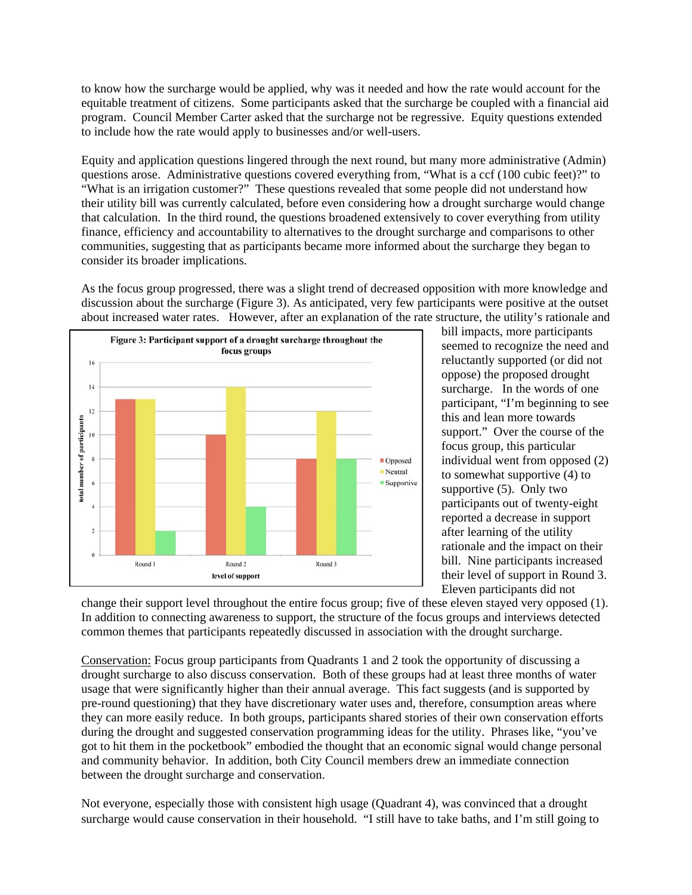to know how the surcharge would be applied, why was it needed and how the rate would account for the equitable treatment of citizens. Some participants asked that the surcharge be coupled with a financial aid program. Council Member Carter asked that the surcharge not be regressive. Equity questions extended to include how the rate would apply to businesses and/or well-users.

Equity and application questions lingered through the next round, but many more administrative (Admin) questions arose. Administrative questions covered everything from, "What is a ccf (100 cubic feet)?" to "What is an irrigation customer?" These questions revealed that some people did not understand how their utility bill was currently calculated, before even considering how a drought surcharge would change that calculation. In the third round, the questions broadened extensively to cover everything from utility finance, efficiency and accountability to alternatives to the drought surcharge and comparisons to other communities, suggesting that as participants became more informed about the surcharge they began to consider its broader implications.

As the focus group progressed, there was a slight trend of decreased opposition with more knowledge and discussion about the surcharge (Figure 3). As anticipated, very few participants were positive at the outset about increased water rates. However, after an explanation of the rate structure, the utility's rationale and



bill impacts, more participants seemed to recognize the need and reluctantly supported (or did not oppose) the proposed drought surcharge. In the words of one participant, "I'm beginning to see this and lean more towards support." Over the course of the focus group, this particular individual went from opposed (2) to somewhat supportive (4) to supportive (5). Only two participants out of twenty-eight reported a decrease in support after learning of the utility rationale and the impact on their bill. Nine participants increased their level of support in Round 3. Eleven participants did not

change their support level throughout the entire focus group; five of these eleven stayed very opposed (1). In addition to connecting awareness to support, the structure of the focus groups and interviews detected common themes that participants repeatedly discussed in association with the drought surcharge.

Conservation: Focus group participants from Quadrants 1 and 2 took the opportunity of discussing a drought surcharge to also discuss conservation. Both of these groups had at least three months of water usage that were significantly higher than their annual average. This fact suggests (and is supported by pre-round questioning) that they have discretionary water uses and, therefore, consumption areas where they can more easily reduce. In both groups, participants shared stories of their own conservation efforts during the drought and suggested conservation programming ideas for the utility. Phrases like, "you've got to hit them in the pocketbook" embodied the thought that an economic signal would change personal and community behavior. In addition, both City Council members drew an immediate connection between the drought surcharge and conservation.

Not everyone, especially those with consistent high usage (Quadrant 4), was convinced that a drought surcharge would cause conservation in their household. "I still have to take baths, and I'm still going to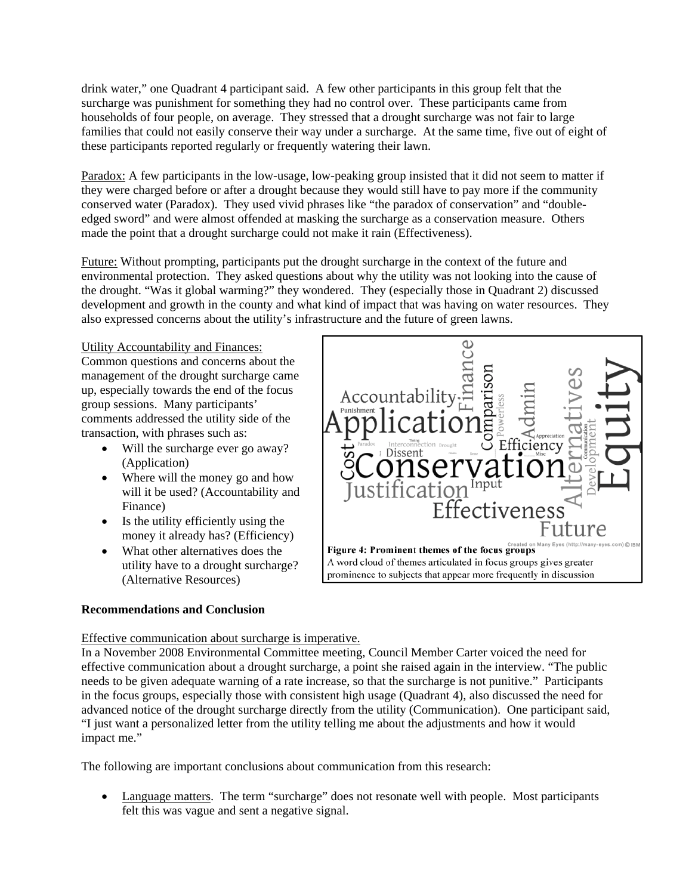drink water," one Quadrant 4 participant said. A few other participants in this group felt that the surcharge was punishment for something they had no control over. These participants came from households of four people, on average. They stressed that a drought surcharge was not fair to large families that could not easily conserve their way under a surcharge. At the same time, five out of eight of these participants reported regularly or frequently watering their lawn.

Paradox: A few participants in the low-usage, low-peaking group insisted that it did not seem to matter if they were charged before or after a drought because they would still have to pay more if the community conserved water (Paradox). They used vivid phrases like "the paradox of conservation" and "doubleedged sword" and were almost offended at masking the surcharge as a conservation measure. Others made the point that a drought surcharge could not make it rain (Effectiveness).

Future: Without prompting, participants put the drought surcharge in the context of the future and environmental protection. They asked questions about why the utility was not looking into the cause of the drought. "Was it global warming?" they wondered. They (especially those in Quadrant 2) discussed development and growth in the county and what kind of impact that was having on water resources. They also expressed concerns about the utility's infrastructure and the future of green lawns.

Utility Accountability and Finances:

Common questions and concerns about the management of the drought surcharge came up, especially towards the end of the focus group sessions. Many participants' comments addressed the utility side of the transaction, with phrases such as:

- Will the surcharge ever go away? (Application)
- Where will the money go and how will it be used? (Accountability and Finance)
- Is the utility efficiently using the money it already has? (Efficiency)
- What other alternatives does the utility have to a drought surcharge? (Alternative Resources)

## **Recommendations and Conclusion**



## Effective communication about surcharge is imperative.

In a November 2008 Environmental Committee meeting, Council Member Carter voiced the need for effective communication about a drought surcharge, a point she raised again in the interview. "The public needs to be given adequate warning of a rate increase, so that the surcharge is not punitive." Participants in the focus groups, especially those with consistent high usage (Quadrant 4), also discussed the need for advanced notice of the drought surcharge directly from the utility (Communication). One participant said, "I just want a personalized letter from the utility telling me about the adjustments and how it would impact me."

The following are important conclusions about communication from this research:

• Language matters. The term "surcharge" does not resonate well with people. Most participants felt this was vague and sent a negative signal.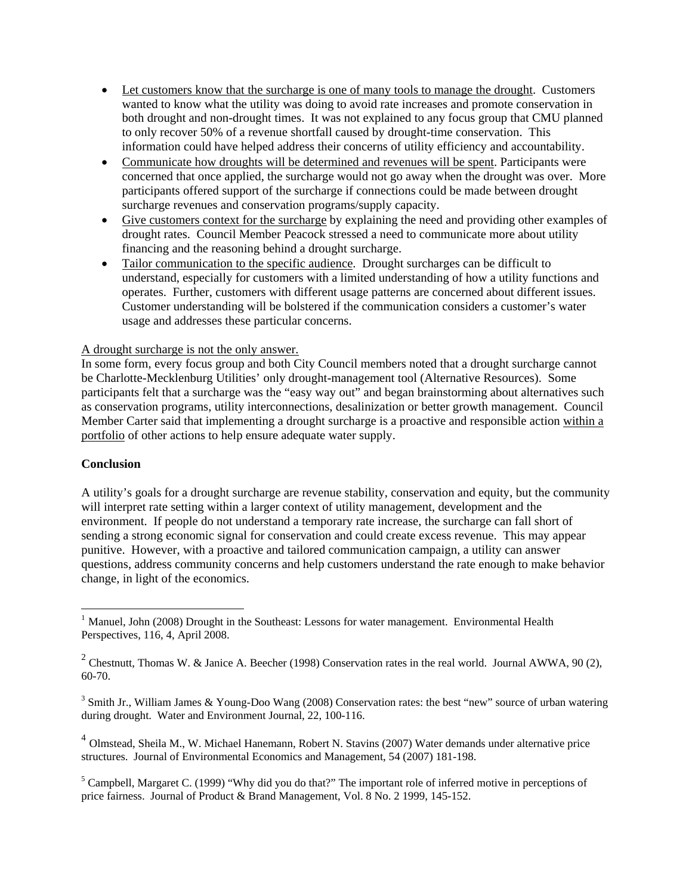- Let customers know that the surcharge is one of many tools to manage the drought. Customers wanted to know what the utility was doing to avoid rate increases and promote conservation in both drought and non-drought times. It was not explained to any focus group that CMU planned to only recover 50% of a revenue shortfall caused by drought-time conservation. This information could have helped address their concerns of utility efficiency and accountability.
- Communicate how droughts will be determined and revenues will be spent. Participants were concerned that once applied, the surcharge would not go away when the drought was over. More participants offered support of the surcharge if connections could be made between drought surcharge revenues and conservation programs/supply capacity.
- Give customers context for the surcharge by explaining the need and providing other examples of drought rates. Council Member Peacock stressed a need to communicate more about utility financing and the reasoning behind a drought surcharge.
- Tailor communication to the specific audience. Drought surcharges can be difficult to understand, especially for customers with a limited understanding of how a utility functions and operates. Further, customers with different usage patterns are concerned about different issues. Customer understanding will be bolstered if the communication considers a customer's water usage and addresses these particular concerns.

## A drought surcharge is not the only answer.

In some form, every focus group and both City Council members noted that a drought surcharge cannot be Charlotte-Mecklenburg Utilities' only drought-management tool (Alternative Resources). Some participants felt that a surcharge was the "easy way out" and began brainstorming about alternatives such as conservation programs, utility interconnections, desalinization or better growth management. Council Member Carter said that implementing a drought surcharge is a proactive and responsible action within a portfolio of other actions to help ensure adequate water supply.

### **Conclusion**

 $\overline{a}$ 

A utility's goals for a drought surcharge are revenue stability, conservation and equity, but the community will interpret rate setting within a larger context of utility management, development and the environment. If people do not understand a temporary rate increase, the surcharge can fall short of sending a strong economic signal for conservation and could create excess revenue. This may appear punitive. However, with a proactive and tailored communication campaign, a utility can answer questions, address community concerns and help customers understand the rate enough to make behavior change, in light of the economics.

<sup>4</sup> Olmstead, Sheila M., W. Michael Hanemann, Robert N. Stavins (2007) Water demands under alternative price structures. Journal of Environmental Economics and Management, 54 (2007) 181-198.

<sup>5</sup> Campbell, Margaret C. (1999) "Why did you do that?" The important role of inferred motive in perceptions of price fairness. Journal of Product & Brand Management, Vol. 8 No. 2 1999, 145-152.

<sup>&</sup>lt;sup>1</sup> Manuel, John (2008) Drought in the Southeast: Lessons for water management. Environmental Health Perspectives, 116, 4, April 2008.

<sup>&</sup>lt;sup>2</sup> Chestnutt, Thomas W. & Janice A. Beecher (1998) Conservation rates in the real world. Journal AWWA, 90 (2), 60-70.

<sup>&</sup>lt;sup>3</sup> Smith Jr., William James & Young-Doo Wang (2008) Conservation rates: the best "new" source of urban watering during drought. Water and Environment Journal, 22, 100-116.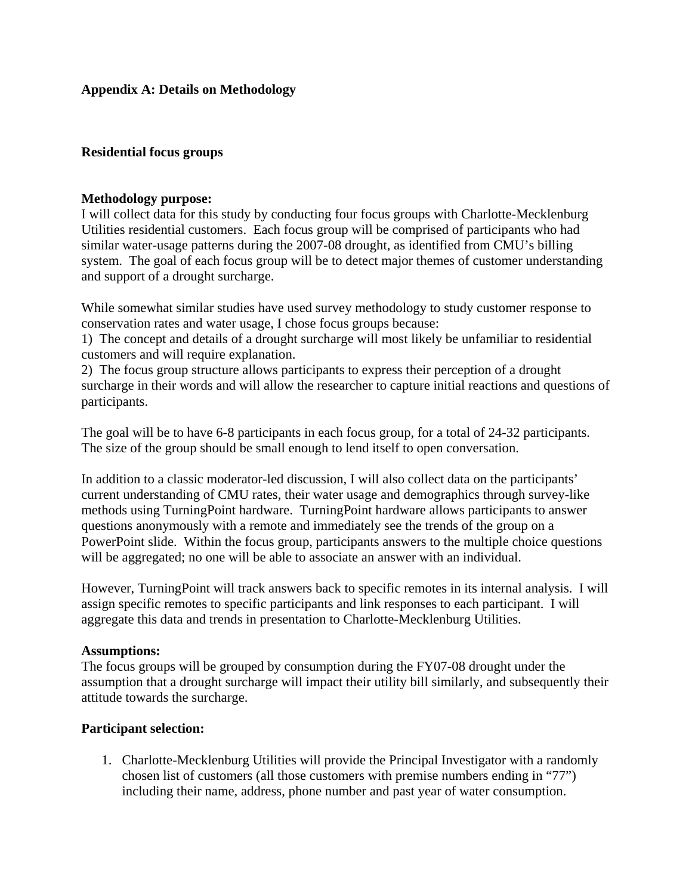## **Appendix A: Details on Methodology**

## **Residential focus groups**

## **Methodology purpose:**

I will collect data for this study by conducting four focus groups with Charlotte-Mecklenburg Utilities residential customers. Each focus group will be comprised of participants who had similar water-usage patterns during the 2007-08 drought, as identified from CMU's billing system. The goal of each focus group will be to detect major themes of customer understanding and support of a drought surcharge.

While somewhat similar studies have used survey methodology to study customer response to conservation rates and water usage, I chose focus groups because:

1) The concept and details of a drought surcharge will most likely be unfamiliar to residential customers and will require explanation.

2) The focus group structure allows participants to express their perception of a drought surcharge in their words and will allow the researcher to capture initial reactions and questions of participants.

The goal will be to have 6-8 participants in each focus group, for a total of 24-32 participants. The size of the group should be small enough to lend itself to open conversation.

In addition to a classic moderator-led discussion, I will also collect data on the participants' current understanding of CMU rates, their water usage and demographics through survey-like methods using TurningPoint hardware. TurningPoint hardware allows participants to answer questions anonymously with a remote and immediately see the trends of the group on a PowerPoint slide. Within the focus group, participants answers to the multiple choice questions will be aggregated; no one will be able to associate an answer with an individual.

However, TurningPoint will track answers back to specific remotes in its internal analysis. I will assign specific remotes to specific participants and link responses to each participant. I will aggregate this data and trends in presentation to Charlotte-Mecklenburg Utilities.

## **Assumptions:**

The focus groups will be grouped by consumption during the FY07-08 drought under the assumption that a drought surcharge will impact their utility bill similarly, and subsequently their attitude towards the surcharge.

## **Participant selection:**

1. Charlotte-Mecklenburg Utilities will provide the Principal Investigator with a randomly chosen list of customers (all those customers with premise numbers ending in "77") including their name, address, phone number and past year of water consumption.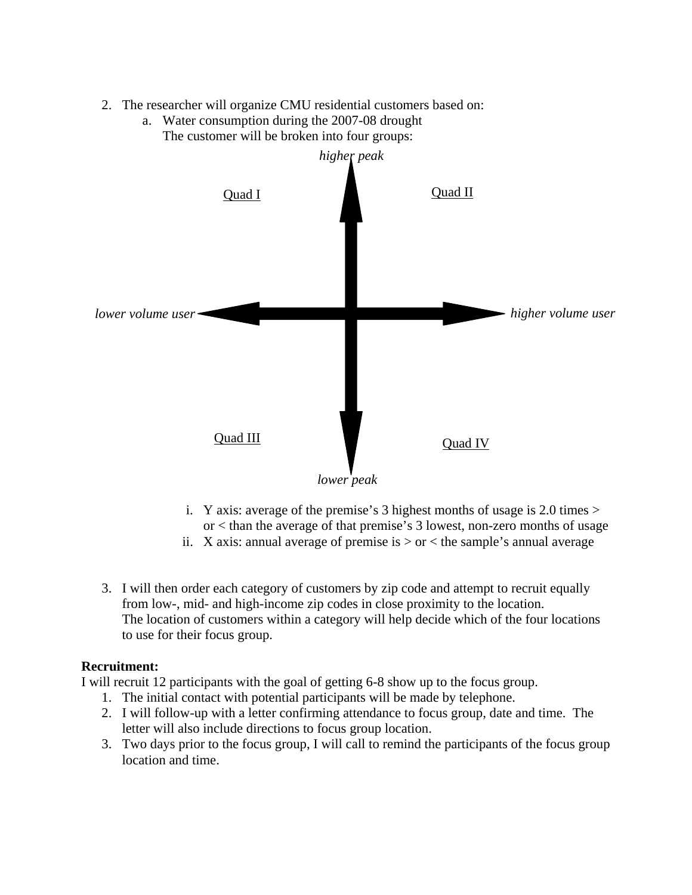2. The researcher will organize CMU residential customers based on:



a. Water consumption during the 2007-08 drought The customer will be broken into four groups:

- i. Y axis: average of the premise's 3 highest months of usage is 2.0 times  $>$ or < than the average of that premise's 3 lowest, non-zero months of usage
- ii. X axis: annual average of premise is  $>$  or  $<$  the sample's annual average
- 3. I will then order each category of customers by zip code and attempt to recruit equally from low-, mid- and high-income zip codes in close proximity to the location. The location of customers within a category will help decide which of the four locations to use for their focus group.

## **Recruitment:**

I will recruit 12 participants with the goal of getting 6-8 show up to the focus group.

- 1. The initial contact with potential participants will be made by telephone.
- 2. I will follow-up with a letter confirming attendance to focus group, date and time. The letter will also include directions to focus group location.
- 3. Two days prior to the focus group, I will call to remind the participants of the focus group location and time.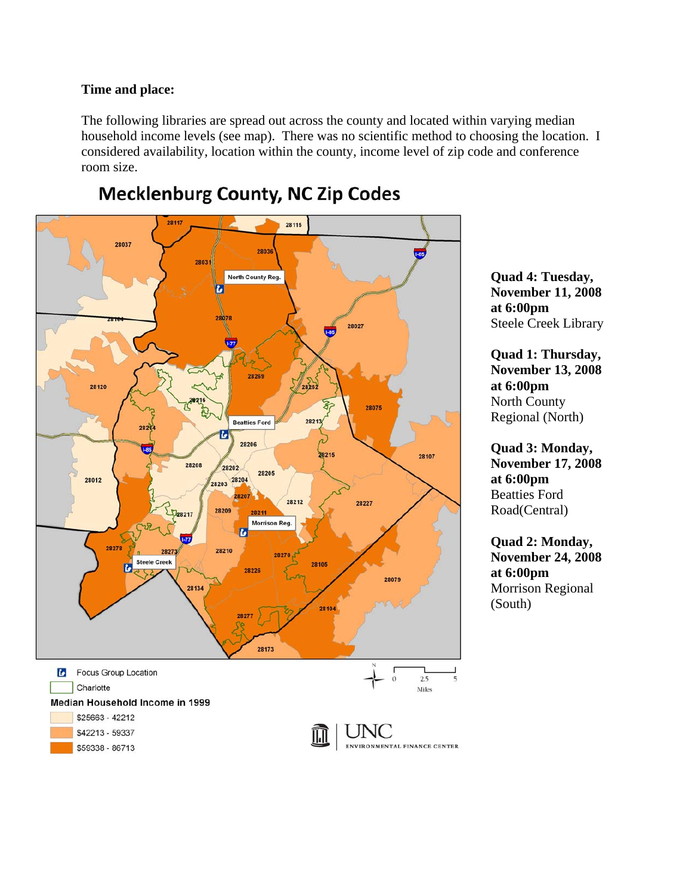## **Time and place:**

The following libraries are spread out across the county and located within varying median household income levels (see map). There was no scientific method to choosing the location. I considered availability, location within the county, income level of zip code and conference room size.



# **Mecklenburg County, NC Zip Codes**

**Quad 4: Tuesday, November 11, 2008 at 6:00pm**  Steele Creek Library

**Quad 1: Thursday, November 13, 2008 at 6:00pm**  North County Regional (North)

**Quad 3: Monday, November 17, 2008 at 6:00pm**  Beatties Ford Road(Central)

**Quad 2: Monday, November 24, 2008 at 6:00pm**  Morrison Regional (South)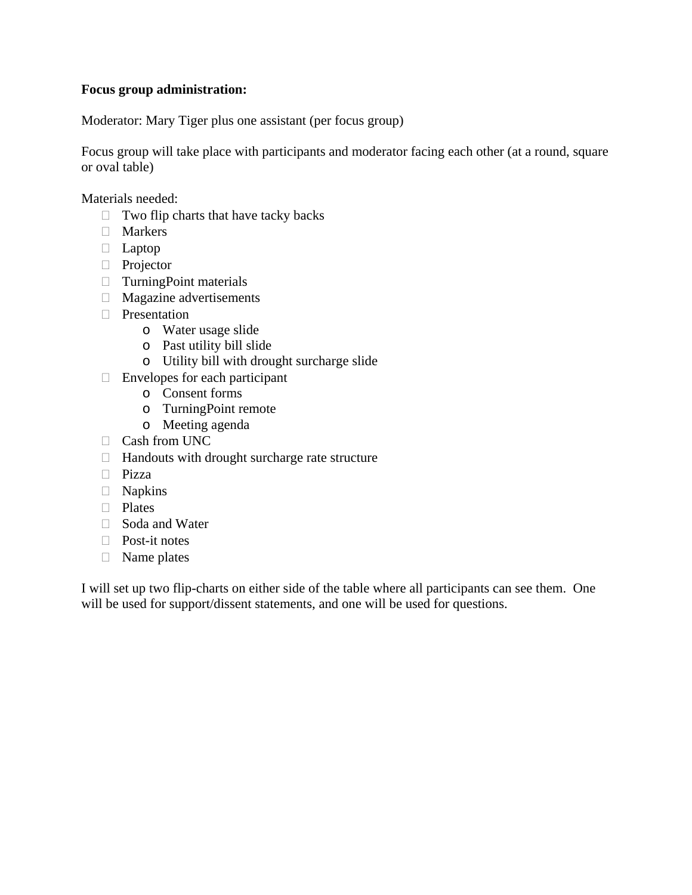## **Focus group administration:**

Moderator: Mary Tiger plus one assistant (per focus group)

Focus group will take place with participants and moderator facing each other (at a round, square or oval table)

Materials needed:

- $\Box$  Two flip charts that have tacky backs
- **Markers**
- Laptop
- **Projector**
- $\Box$  TurningPoint materials
- □ Magazine advertisements
- □ Presentation
	- o Water usage slide
	- o Past utility bill slide
	- o Utility bill with drought surcharge slide
- $\Box$  Envelopes for each participant
	- o Consent forms
	- o TurningPoint remote
	- o Meeting agenda
- Cash from UNC
- $\Box$  Handouts with drought surcharge rate structure
- Pizza
- Napkins
- D Plates
- □ Soda and Water
- □ Post-it notes
- □ Name plates

I will set up two flip-charts on either side of the table where all participants can see them. One will be used for support/dissent statements, and one will be used for questions.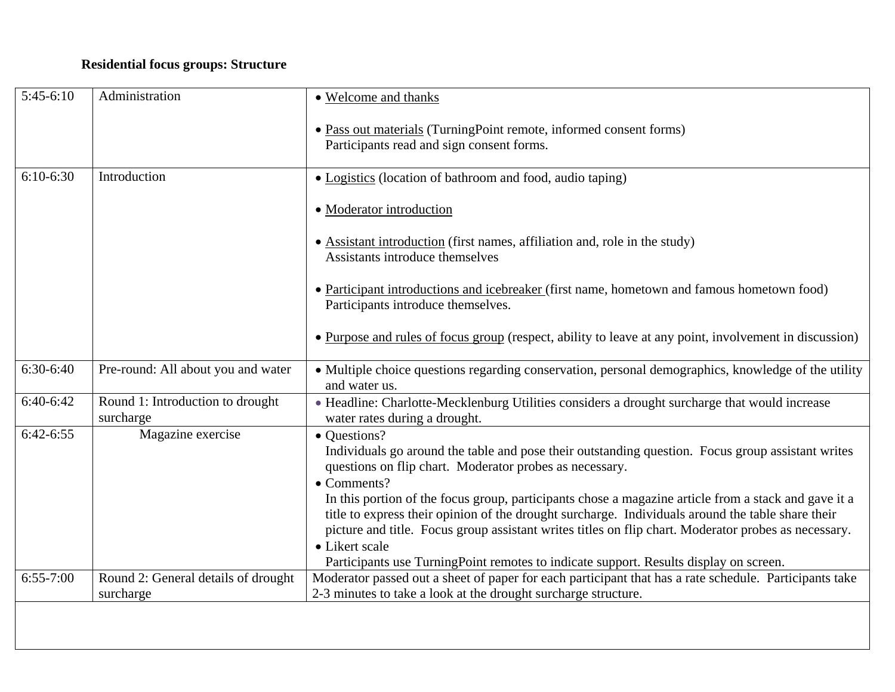# **Residential focus groups: Structure**

| $5:45-6:10$ | Administration                                   | • Welcome and thanks                                                                                                                                                                                                                                                                                                                                                                                                                                                                                                     |
|-------------|--------------------------------------------------|--------------------------------------------------------------------------------------------------------------------------------------------------------------------------------------------------------------------------------------------------------------------------------------------------------------------------------------------------------------------------------------------------------------------------------------------------------------------------------------------------------------------------|
|             |                                                  | • Pass out materials (TurningPoint remote, informed consent forms)<br>Participants read and sign consent forms.                                                                                                                                                                                                                                                                                                                                                                                                          |
| $6:10-6:30$ | Introduction                                     | • Logistics (location of bathroom and food, audio taping)                                                                                                                                                                                                                                                                                                                                                                                                                                                                |
|             |                                                  | • Moderator introduction                                                                                                                                                                                                                                                                                                                                                                                                                                                                                                 |
|             |                                                  | • Assistant introduction (first names, affiliation and, role in the study)<br>Assistants introduce themselves                                                                                                                                                                                                                                                                                                                                                                                                            |
|             |                                                  | • Participant introductions and icebreaker (first name, hometown and famous hometown food)<br>Participants introduce themselves.                                                                                                                                                                                                                                                                                                                                                                                         |
|             |                                                  | • Purpose and rules of focus group (respect, ability to leave at any point, involvement in discussion)                                                                                                                                                                                                                                                                                                                                                                                                                   |
| $6:30-6:40$ | Pre-round: All about you and water               | • Multiple choice questions regarding conservation, personal demographics, knowledge of the utility<br>and water us.                                                                                                                                                                                                                                                                                                                                                                                                     |
| 6:40-6:42   | Round 1: Introduction to drought<br>surcharge    | • Headline: Charlotte-Mecklenburg Utilities considers a drought surcharge that would increase<br>water rates during a drought.                                                                                                                                                                                                                                                                                                                                                                                           |
| $6:42-6:55$ | Magazine exercise                                | • Questions?<br>Individuals go around the table and pose their outstanding question. Focus group assistant writes<br>questions on flip chart. Moderator probes as necessary.<br>$\bullet$ Comments?<br>In this portion of the focus group, participants chose a magazine article from a stack and gave it a<br>title to express their opinion of the drought surcharge. Individuals around the table share their<br>picture and title. Focus group assistant writes titles on flip chart. Moderator probes as necessary. |
|             |                                                  | • Likert scale<br>Participants use TurningPoint remotes to indicate support. Results display on screen.                                                                                                                                                                                                                                                                                                                                                                                                                  |
| $6:55-7:00$ | Round 2: General details of drought<br>surcharge | Moderator passed out a sheet of paper for each participant that has a rate schedule. Participants take<br>2-3 minutes to take a look at the drought surcharge structure.                                                                                                                                                                                                                                                                                                                                                 |
|             |                                                  |                                                                                                                                                                                                                                                                                                                                                                                                                                                                                                                          |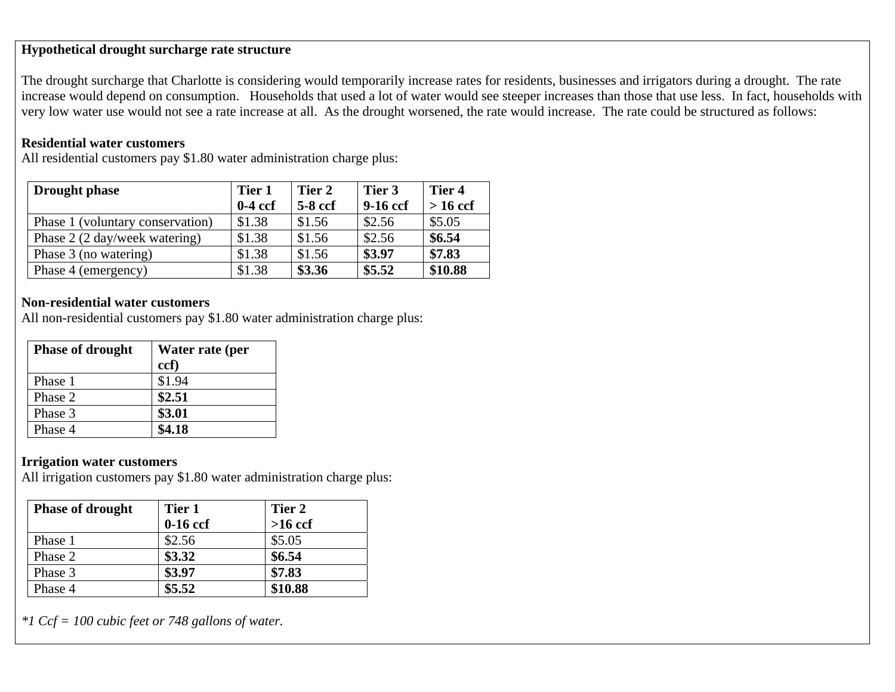## **Hypothetical drought surcharge rate structure**

The drought surcharge that Charlotte is considering would temporarily increase rates for residents, businesses and irrigators during a drought. The rate increase would depend on consumption. Households that used a lot of water would see steeper increases than those that use less. In fact, households with very low water use would not see a rate increase at all. As the drought worsened, the rate would increase. The rate could be structured as follows:

## **Residential water customers**

All residential customers pay \$1.80 water administration charge plus:

| <b>Drought phase</b>             | Tier 1    | Tier 2    | Tier 3     | Tier 4     |
|----------------------------------|-----------|-----------|------------|------------|
|                                  | $0-4$ ccf | $5-8$ ccf | $9-16$ ccf | $> 16$ ccf |
| Phase 1 (voluntary conservation) | \$1.38    | \$1.56    | \$2.56     | \$5.05     |
| Phase 2 (2 day/week watering)    | \$1.38    | \$1.56    | \$2.56     | \$6.54     |
| Phase 3 (no watering)            | \$1.38    | \$1.56    | \$3.97     | \$7.83     |
| Phase 4 (emergency)              | \$1.38    | \$3.36    | \$5.52     | \$10.88    |

## **Non-residential water customers**

All non-residential customers pay \$1.80 water administration charge plus:

| <b>Phase of drought</b> | Water rate (per<br>ccf) |
|-------------------------|-------------------------|
| Phase 1                 | \$1.94                  |
| Phase 2                 | \$2.51                  |
| Phase 3                 | \$3.01                  |
| Phase 4                 | \$4.18                  |

## **Irrigation water customers**

All irrigation customers pay \$1.80 water administration charge plus:

| <b>Phase of drought</b> | Tier 1<br>$0-16$ ccf | Tier 2<br>$>16$ ccf |
|-------------------------|----------------------|---------------------|
| Phase 1                 | \$2.56               | \$5.05              |
| Phase 2                 | \$3.32               | \$6.54              |
| Phase 3                 | \$3.97               | \$7.83              |
| Phase 4                 | \$5.52               | \$10.88             |

*\*1 Ccf = 100 cubic feet or 748 gallons of water.*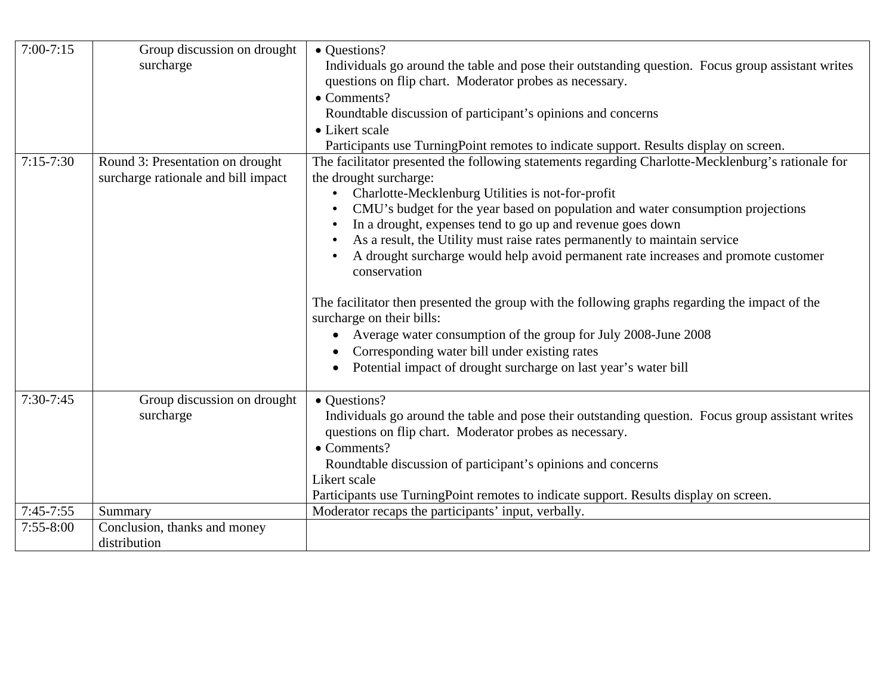| $7:00 - 7:15$ | Group discussion on drought         | • Questions?                                                                                       |
|---------------|-------------------------------------|----------------------------------------------------------------------------------------------------|
|               | surcharge                           | Individuals go around the table and pose their outstanding question. Focus group assistant writes  |
|               |                                     | questions on flip chart. Moderator probes as necessary.                                            |
|               |                                     | $\bullet$ Comments?                                                                                |
|               |                                     | Roundtable discussion of participant's opinions and concerns                                       |
|               |                                     | • Likert scale                                                                                     |
|               |                                     | Participants use TurningPoint remotes to indicate support. Results display on screen.              |
| $7:15 - 7:30$ | Round 3: Presentation on drought    | The facilitator presented the following statements regarding Charlotte-Mecklenburg's rationale for |
|               | surcharge rationale and bill impact | the drought surcharge:                                                                             |
|               |                                     | Charlotte-Mecklenburg Utilities is not-for-profit                                                  |
|               |                                     | CMU's budget for the year based on population and water consumption projections                    |
|               |                                     | In a drought, expenses tend to go up and revenue goes down                                         |
|               |                                     | As a result, the Utility must raise rates permanently to maintain service                          |
|               |                                     | A drought surcharge would help avoid permanent rate increases and promote customer                 |
|               |                                     | conservation                                                                                       |
|               |                                     |                                                                                                    |
|               |                                     | The facilitator then presented the group with the following graphs regarding the impact of the     |
|               |                                     | surcharge on their bills:                                                                          |
|               |                                     | Average water consumption of the group for July 2008-June 2008                                     |
|               |                                     | Corresponding water bill under existing rates                                                      |
|               |                                     | Potential impact of drought surcharge on last year's water bill                                    |
|               |                                     |                                                                                                    |
| $7:30-7:45$   | Group discussion on drought         | • Questions?                                                                                       |
|               | surcharge                           | Individuals go around the table and pose their outstanding question. Focus group assistant writes  |
|               |                                     | questions on flip chart. Moderator probes as necessary.                                            |
|               |                                     | • Comments?                                                                                        |
|               |                                     | Roundtable discussion of participant's opinions and concerns                                       |
|               |                                     | Likert scale                                                                                       |
|               |                                     | Participants use TurningPoint remotes to indicate support. Results display on screen.              |
| $7:45-7:55$   | Summary                             | Moderator recaps the participants' input, verbally.                                                |
| $7:55 - 8:00$ | Conclusion, thanks and money        |                                                                                                    |
|               | distribution                        |                                                                                                    |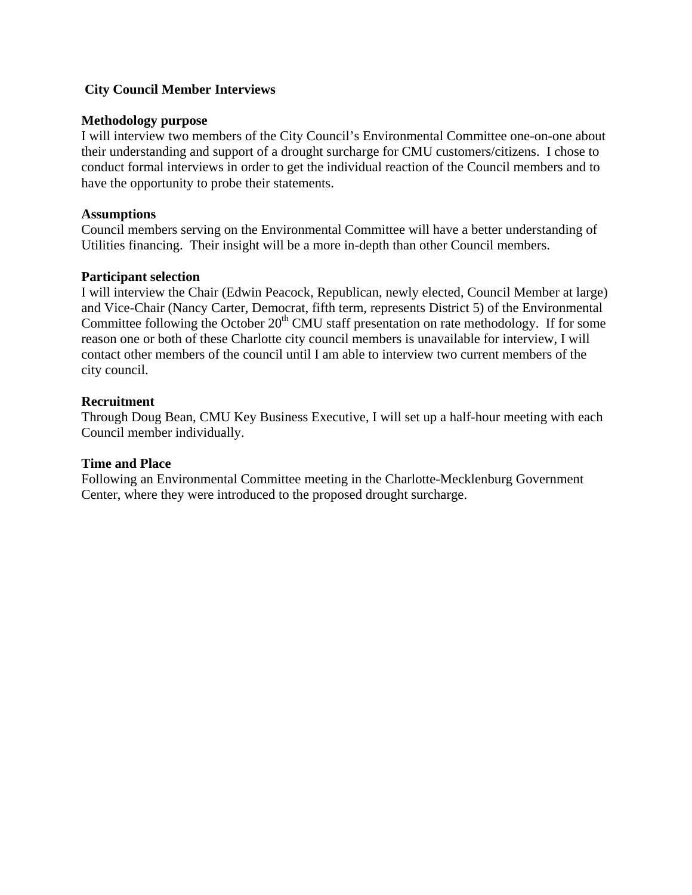## **City Council Member Interviews**

## **Methodology purpose**

I will interview two members of the City Council's Environmental Committee one-on-one about their understanding and support of a drought surcharge for CMU customers/citizens. I chose to conduct formal interviews in order to get the individual reaction of the Council members and to have the opportunity to probe their statements.

## **Assumptions**

Council members serving on the Environmental Committee will have a better understanding of Utilities financing. Their insight will be a more in-depth than other Council members.

## **Participant selection**

I will interview the Chair (Edwin Peacock, Republican, newly elected, Council Member at large) and Vice-Chair (Nancy Carter, Democrat, fifth term, represents District 5) of the Environmental Committee following the October  $20<sup>th</sup>$  CMU staff presentation on rate methodology. If for some reason one or both of these Charlotte city council members is unavailable for interview, I will contact other members of the council until I am able to interview two current members of the city council.

## **Recruitment**

Through Doug Bean, CMU Key Business Executive, I will set up a half-hour meeting with each Council member individually.

## **Time and Place**

Following an Environmental Committee meeting in the Charlotte-Mecklenburg Government Center, where they were introduced to the proposed drought surcharge.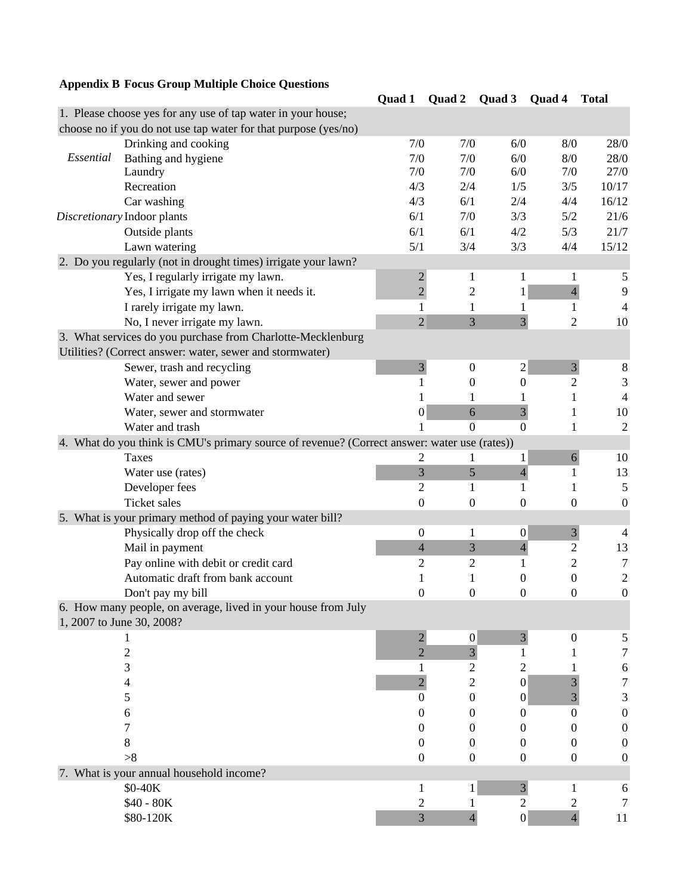# **Appendix B Focus Group Multiple Choice Questions**

|           |                                                                                              | Quad 1              | Quad 2                           | Quad 3              | Quad 4           | <b>Total</b>          |
|-----------|----------------------------------------------------------------------------------------------|---------------------|----------------------------------|---------------------|------------------|-----------------------|
|           | 1. Please choose yes for any use of tap water in your house;                                 |                     |                                  |                     |                  |                       |
|           | choose no if you do not use tap water for that purpose (yes/no)                              |                     |                                  |                     |                  |                       |
|           | Drinking and cooking                                                                         | 7/0                 | 7/0                              | 6/0                 | 8/0              | 28/0                  |
| Essential | Bathing and hygiene                                                                          | 7/0                 | 7/0                              | 6/0                 | 8/0              | 28/0                  |
|           | Laundry                                                                                      | 7/0                 | 7/0                              | 6/0                 | 7/0              | 27/0                  |
|           | Recreation                                                                                   | 4/3                 | 2/4                              | 1/5                 | 3/5              | 10/17                 |
|           | Car washing                                                                                  | 4/3                 | 6/1                              | 2/4                 | 4/4              | 16/12                 |
|           | Discretionary Indoor plants                                                                  | 6/1                 | 7/0                              | 3/3                 | 5/2              | 21/6                  |
|           | Outside plants                                                                               | 6/1                 | 6/1                              | 4/2                 | 5/3              | 21/7                  |
|           | Lawn watering                                                                                | 5/1                 | 3/4                              | 3/3                 | 4/4              | 15/12                 |
|           | 2. Do you regularly (not in drought times) irrigate your lawn?                               |                     |                                  |                     |                  |                       |
|           | Yes, I regularly irrigate my lawn.                                                           | $\overline{2}$      | 1                                | 1                   | 1                | 5                     |
|           | Yes, I irrigate my lawn when it needs it.                                                    | $\overline{2}$      | 2                                | 1                   | $\overline{4}$   | 9                     |
|           | I rarely irrigate my lawn.                                                                   | 1                   | 1                                |                     | 1                | 4                     |
|           | No, I never irrigate my lawn.                                                                | $\overline{2}$      | $\overline{3}$                   | $\overline{3}$      | $\overline{2}$   | 10                    |
|           | 3. What services do you purchase from Charlotte-Mecklenburg                                  |                     |                                  |                     |                  |                       |
|           | Utilities? (Correct answer: water, sewer and stormwater)                                     |                     |                                  |                     |                  |                       |
|           | Sewer, trash and recycling                                                                   | $\overline{3}$      | $\boldsymbol{0}$                 | 2                   | $\mathfrak{Z}$   | 8                     |
|           | Water, sewer and power                                                                       | 1                   | 0                                | $\Omega$            | $\overline{2}$   | 3                     |
|           | Water and sewer                                                                              | 1                   | 1                                |                     | 1                | $\overline{4}$        |
|           | Water, sewer and stormwater                                                                  | $\boldsymbol{0}$    | 6                                | $\overline{3}$      | 1                | 10                    |
|           | Water and trash                                                                              |                     | $\overline{0}$                   | $\overline{0}$      | 1                | $\overline{c}$        |
|           | 4. What do you think is CMU's primary source of revenue? (Correct answer: water use (rates)) |                     |                                  |                     |                  |                       |
|           | Taxes                                                                                        | $\overline{2}$      | 1                                | 1                   | $\boldsymbol{6}$ | 10                    |
|           | Water use (rates)                                                                            | 3                   | 5                                | $\overline{4}$      | 1                | 13                    |
|           | Developer fees                                                                               | 2                   | 1                                | 1                   | 1                | $\sqrt{5}$            |
|           | <b>Ticket</b> sales                                                                          | $\boldsymbol{0}$    | 0                                | $\overline{0}$      | $\overline{0}$   | $\boldsymbol{0}$      |
|           | 5. What is your primary method of paying your water bill?                                    |                     |                                  |                     |                  |                       |
|           | Physically drop off the check                                                                | $\boldsymbol{0}$    | 1                                | $\boldsymbol{0}$    | 3                | $\overline{4}$        |
|           | Mail in payment                                                                              | $\overline{4}$      | 3                                | $\overline{4}$      | 2                | 13                    |
|           | Pay online with debit or credit card                                                         | $\overline{2}$      | $\overline{2}$                   | 1                   | 2                | 7                     |
|           | Automatic draft from bank account                                                            | 1                   | 1                                | $\Omega$            | $\boldsymbol{0}$ | $\sqrt{2}$            |
|           | Don't pay my bill                                                                            | $\boldsymbol{0}$    | $\boldsymbol{0}$                 | $\overline{0}$      | $\boldsymbol{0}$ | $\boldsymbol{0}$      |
|           | 6. How many people, on average, lived in your house from July                                |                     |                                  |                     |                  |                       |
|           | 1, 2007 to June 30, 2008?                                                                    |                     |                                  |                     |                  |                       |
|           | $\overline{c}$                                                                               | $\overline{2}$<br>2 | $\boldsymbol{0}$                 | $\overline{3}$<br>1 | 0                | 5<br>7                |
|           | 3                                                                                            |                     | $\mathfrak{Z}$<br>$\overline{c}$ | 2                   |                  |                       |
|           | 4                                                                                            | $\overline{2}$      | $\overline{c}$                   | $\boldsymbol{0}$    | 3                | 6<br>$\boldsymbol{7}$ |
|           | 5                                                                                            | $\boldsymbol{0}$    | 0                                | $\boldsymbol{0}$    | 3                | 3                     |
|           | 6                                                                                            | 0                   | $\theta$                         | $\theta$            | $\overline{0}$   | $\boldsymbol{0}$      |
|           | 7                                                                                            | 0                   | 0                                | $^{(1)}$            | 0                | $\boldsymbol{0}$      |
|           | 8                                                                                            | $\theta$            | 0                                | $\theta$            | $\theta$         | $\boldsymbol{0}$      |
|           | >8                                                                                           | $\boldsymbol{0}$    | 0                                | $\theta$            | 0                | $\boldsymbol{0}$      |
|           | 7. What is your annual household income?                                                     |                     |                                  |                     |                  |                       |
|           | \$0-40K                                                                                      | 1                   | 1                                | $\overline{3}$      | 1                | 6                     |
|           | \$40 - 80K                                                                                   | 2                   |                                  | $\mathfrak{2}$      | 2                | 7                     |
|           | \$80-120K                                                                                    | $\mathfrak{Z}$      | 4                                | $\boldsymbol{0}$    | $\overline{4}$   | 11                    |
|           |                                                                                              |                     |                                  |                     |                  |                       |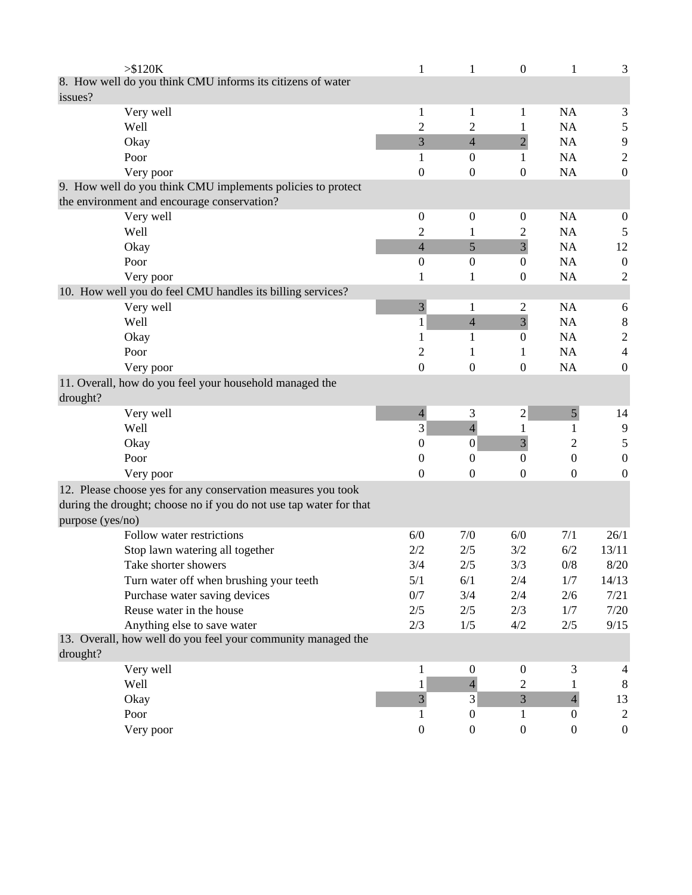| $>\$120K$                                                          | 1                | 1                | $\boldsymbol{0}$ | 1                | 3                |
|--------------------------------------------------------------------|------------------|------------------|------------------|------------------|------------------|
| 8. How well do you think CMU informs its citizens of water         |                  |                  |                  |                  |                  |
| issues?                                                            |                  |                  |                  |                  |                  |
| Very well                                                          | 1                | 1                | 1                | <b>NA</b>        | 3                |
| Well                                                               | $\overline{c}$   | $\overline{c}$   | 1                | <b>NA</b>        | 5                |
| Okay                                                               | 3                | $\overline{4}$   | $\overline{2}$   | NA               | 9                |
| Poor                                                               | 1                | $\boldsymbol{0}$ | 1                | NA               | $\sqrt{2}$       |
| Very poor                                                          | $\boldsymbol{0}$ | $\boldsymbol{0}$ | $\boldsymbol{0}$ | <b>NA</b>        | $\boldsymbol{0}$ |
| 9. How well do you think CMU implements policies to protect        |                  |                  |                  |                  |                  |
| the environment and encourage conservation?                        |                  |                  |                  |                  |                  |
| Very well                                                          | $\mathbf{0}$     | $\boldsymbol{0}$ | $\mathbf{0}$     | NA               | $\boldsymbol{0}$ |
| Well                                                               | 2                | 1                | 2                | <b>NA</b>        | 5                |
| Okay                                                               | $\overline{4}$   | 5                | $\overline{3}$   | NA               | 12               |
| Poor                                                               | $\mathbf{0}$     | $\boldsymbol{0}$ | $\boldsymbol{0}$ | NA               | $\boldsymbol{0}$ |
| Very poor                                                          | 1                | 1                | $\overline{0}$   | <b>NA</b>        | $\overline{c}$   |
| 10. How well you do feel CMU handles its billing services?         |                  |                  |                  |                  |                  |
| Very well                                                          | 3                | 1                | 2                | <b>NA</b>        | 6                |
| Well                                                               | 1                | $\overline{4}$   | $\overline{3}$   | <b>NA</b>        | $\,8\,$          |
| Okay                                                               | 1                | 1                | $\boldsymbol{0}$ | <b>NA</b>        | $\overline{c}$   |
| Poor                                                               | 2                | 1                | 1                | NA               | $\overline{4}$   |
| Very poor                                                          | $\boldsymbol{0}$ | $\boldsymbol{0}$ | $\boldsymbol{0}$ | NA               | $\boldsymbol{0}$ |
| 11. Overall, how do you feel your household managed the            |                  |                  |                  |                  |                  |
| drought?                                                           |                  |                  |                  |                  |                  |
| Very well                                                          | $\overline{4}$   | 3                | $\mathbf{2}$     | $\mathfrak{S}$   | 14               |
| Well                                                               | 3                | $\overline{4}$   | 1                | 1                | 9                |
| Okay                                                               | 0                | $\mathbf{0}$     | $\overline{3}$   | 2                | 5                |
| Poor                                                               | 0                | 0                | $\boldsymbol{0}$ | $\boldsymbol{0}$ | $\boldsymbol{0}$ |
| Very poor                                                          | $\theta$         | 0                | 0                | $\boldsymbol{0}$ | $\boldsymbol{0}$ |
| 12. Please choose yes for any conservation measures you took       |                  |                  |                  |                  |                  |
| during the drought; choose no if you do not use tap water for that |                  |                  |                  |                  |                  |
| purpose (yes/no)                                                   |                  |                  |                  |                  |                  |
| Follow water restrictions                                          | 6/0              | 7/0              | 6/0              | 7/1              | 26/1             |
| Stop lawn watering all together                                    | 2/2              | 2/5              | 3/2              | 6/2              | 13/11            |
| Take shorter showers                                               | 3/4              | $2/5$            | 3/3              | $0/8$            | $8/20$           |
| Turn water off when brushing your teeth                            | 5/1              | 6/1              | 2/4              | 1/7              | 14/13            |
| Purchase water saving devices                                      | 0/7              | 3/4              | 2/4              | 2/6              | 7/21             |
| Reuse water in the house                                           | 2/5              | 2/5              | 2/3              | 1/7              | 7/20             |
| Anything else to save water                                        | 2/3              | 1/5              | 4/2              | 2/5              | 9/15             |
| 13. Overall, how well do you feel your community managed the       |                  |                  |                  |                  |                  |
| drought?                                                           |                  |                  |                  |                  |                  |
| Very well                                                          | 1                | $\boldsymbol{0}$ | $\boldsymbol{0}$ | 3                | 4                |
| Well                                                               | $\mathbf{1}$     | $\overline{4}$   | $\overline{2}$   | $\mathbf{I}$     | 8                |
| Okay                                                               | $\overline{3}$   | $\mathfrak{Z}$   | 3                | $\overline{4}$   | 13               |
| Poor                                                               | 1                | $\boldsymbol{0}$ | $\mathbf{1}$     | $\overline{0}$   | $\overline{2}$   |
| Very poor                                                          | $\boldsymbol{0}$ | $\boldsymbol{0}$ | $\boldsymbol{0}$ | $\boldsymbol{0}$ | $\boldsymbol{0}$ |
|                                                                    |                  |                  |                  |                  |                  |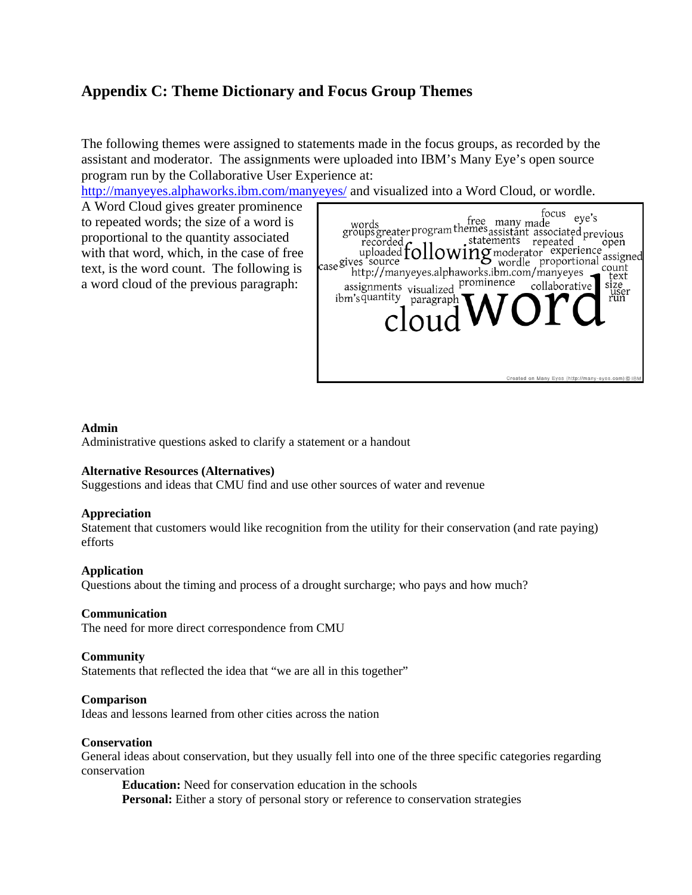# **Appendix C: Theme Dictionary and Focus Group Themes**

The following themes were assigned to statements made in the focus groups, as recorded by the assistant and moderator. The assignments were uploaded into IBM's Many Eye's open source program run by the Collaborative User Experience at:

http://manyeyes.alphaworks.ibm.com/manyeyes/ and visualized into a Word Cloud, or wordle.

A Word Cloud gives greater prominence to repeated words; the size of a word is proportional to the quantity associated with that word, which, in the case of free text, is the word count. The following is a word cloud of the previous paragraph:

| focus<br>words<br>groups greater program themes assistant associated previous<br>recorded the statements repeated open<br>uploaded $\text{following}$ moderator experience<br>gives source proportional assigned assigned to the proportional assigned in the<br>uploaded $f_{\text{Case}}$<br>case gives source<br>http://manyeyes.alphaworks.ibm.com/manyeyes<br>prominence<br>collaborative<br>visualized<br>assignments<br>ibm'squantity<br>paragrap<br>ClO11 | assigned<br>count<br>text<br>size<br>user<br>run |
|-------------------------------------------------------------------------------------------------------------------------------------------------------------------------------------------------------------------------------------------------------------------------------------------------------------------------------------------------------------------------------------------------------------------------------------------------------------------|--------------------------------------------------|
| Created on Many Eyes (http://many-eyes.com) C IBM                                                                                                                                                                                                                                                                                                                                                                                                                 |                                                  |

### **Admin**

Administrative questions asked to clarify a statement or a handout

#### **Alternative Resources (Alternatives)**

Suggestions and ideas that CMU find and use other sources of water and revenue

#### **Appreciation**

Statement that customers would like recognition from the utility for their conservation (and rate paying) efforts

#### **Application**

Questions about the timing and process of a drought surcharge; who pays and how much?

#### **Communication**

The need for more direct correspondence from CMU

#### **Community**

Statements that reflected the idea that "we are all in this together"

#### **Comparison**

Ideas and lessons learned from other cities across the nation

#### **Conservation**

General ideas about conservation, but they usually fell into one of the three specific categories regarding conservation

**Education:** Need for conservation education in the schools **Personal:** Either a story of personal story or reference to conservation strategies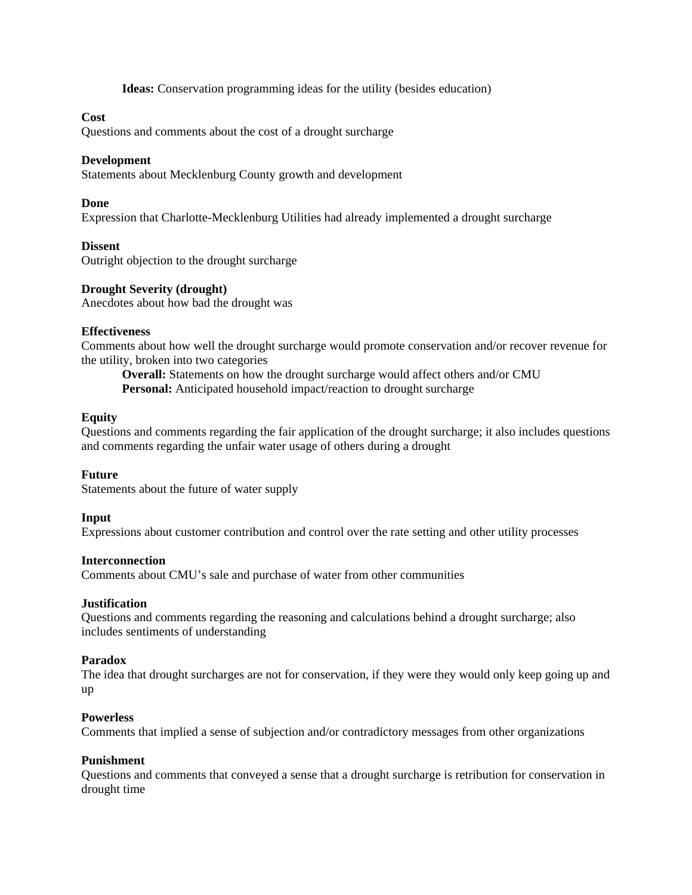**Ideas:** Conservation programming ideas for the utility (besides education)

### **Cost**

Questions and comments about the cost of a drought surcharge

#### **Development**

Statements about Mecklenburg County growth and development

#### **Done**

Expression that Charlotte-Mecklenburg Utilities had already implemented a drought surcharge

#### **Dissent**

Outright objection to the drought surcharge

#### **Drought Severity (drought)**

Anecdotes about how bad the drought was

#### **Effectiveness**

Comments about how well the drought surcharge would promote conservation and/or recover revenue for the utility, broken into two categories

**Overall:** Statements on how the drought surcharge would affect others and/or CMU Personal: Anticipated household impact/reaction to drought surcharge

#### **Equity**

Questions and comments regarding the fair application of the drought surcharge; it also includes questions and comments regarding the unfair water usage of others during a drought

### **Future**

Statements about the future of water supply

#### **Input**

Expressions about customer contribution and control over the rate setting and other utility processes

#### **Interconnection**

Comments about CMU's sale and purchase of water from other communities

#### **Justification**

Questions and comments regarding the reasoning and calculations behind a drought surcharge; also includes sentiments of understanding

#### **Paradox**

The idea that drought surcharges are not for conservation, if they were they would only keep going up and up

#### **Powerless**

Comments that implied a sense of subjection and/or contradictory messages from other organizations

#### **Punishment**

Questions and comments that conveyed a sense that a drought surcharge is retribution for conservation in drought time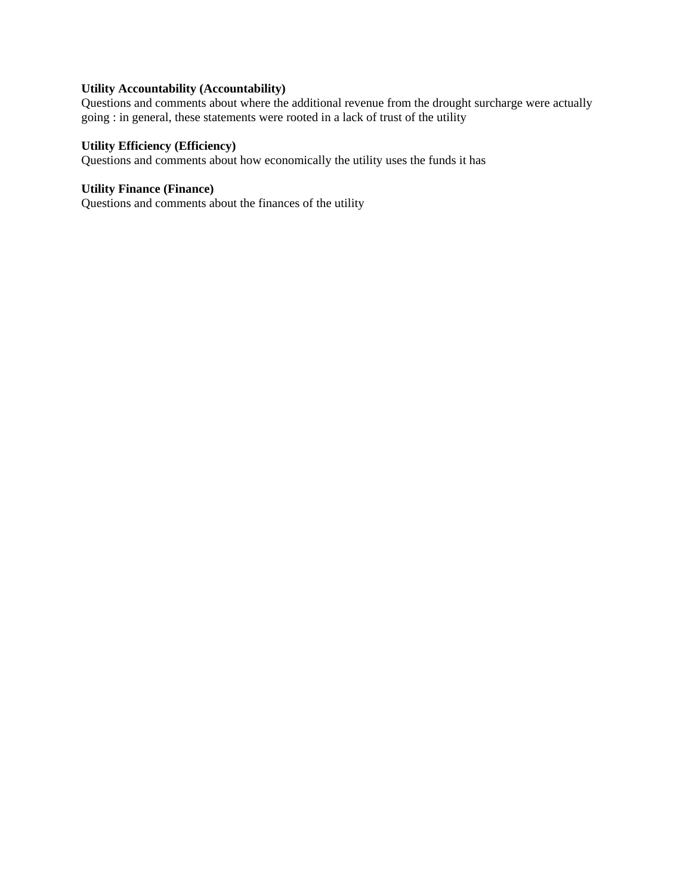## **Utility Accountability (Accountability)**

Questions and comments about where the additional revenue from the drought surcharge were actually going : in general, these statements were rooted in a lack of trust of the utility

## **Utility Efficiency (Efficiency)**

Questions and comments about how economically the utility uses the funds it has

#### **Utility Finance (Finance)**

Questions and comments about the finances of the utility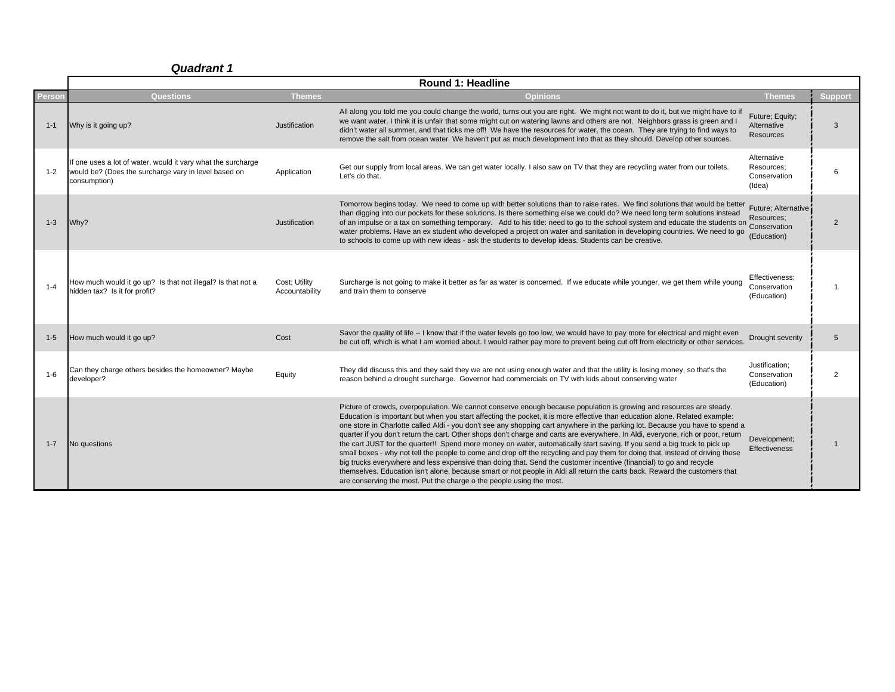|         | <b>Round 1: Headline</b>                                                                                                             |                                 |                                                                                                                                                                                                                                                                                                                                                                                                                                                                                                                                                                                                                                                                                                                                                                                                                                                                                                                                                                                                                                                                                                                       |                                                     |                |  |  |  |
|---------|--------------------------------------------------------------------------------------------------------------------------------------|---------------------------------|-----------------------------------------------------------------------------------------------------------------------------------------------------------------------------------------------------------------------------------------------------------------------------------------------------------------------------------------------------------------------------------------------------------------------------------------------------------------------------------------------------------------------------------------------------------------------------------------------------------------------------------------------------------------------------------------------------------------------------------------------------------------------------------------------------------------------------------------------------------------------------------------------------------------------------------------------------------------------------------------------------------------------------------------------------------------------------------------------------------------------|-----------------------------------------------------|----------------|--|--|--|
| Person  | <b>Questions</b>                                                                                                                     | <b>Themes</b>                   | <b>Opinions</b>                                                                                                                                                                                                                                                                                                                                                                                                                                                                                                                                                                                                                                                                                                                                                                                                                                                                                                                                                                                                                                                                                                       | <b>Themes</b>                                       | <b>Support</b> |  |  |  |
| $1 - 1$ | Why is it going up?                                                                                                                  | Justification                   | All along you told me you could change the world, turns out you are right. We might not want to do it, but we might have to if<br>we want water. I think it is unfair that some might cut on watering lawns and others are not. Neighbors grass is green and I<br>didn't water all summer, and that ticks me off! We have the resources for water, the ocean. They are trying to find ways to<br>remove the salt from ocean water. We haven't put as much development into that as they should. Develop other sources.                                                                                                                                                                                                                                                                                                                                                                                                                                                                                                                                                                                                | Future; Equity;<br>Alternative<br><b>Resources</b>  | 3              |  |  |  |
| $1 - 2$ | If one uses a lot of water, would it vary what the surcharge<br>would be? (Does the surcharge vary in level based on<br>consumption) | Application                     | Get our supply from local areas. We can get water locally. I also saw on TV that they are recycling water from our toilets.<br>Let's do that.                                                                                                                                                                                                                                                                                                                                                                                                                                                                                                                                                                                                                                                                                                                                                                                                                                                                                                                                                                         | Alternative<br>Resources:<br>Conservation<br>(Idea) | 6              |  |  |  |
| $1 - 3$ | Why?                                                                                                                                 | Justification                   | Tomorrow begins today. We need to come up with better solutions than to raise rates. We find solutions that would be better<br>than digging into our pockets for these solutions. Is there something else we could do? We need long term solutions instead<br>of an impulse or a tax on something temporary. Add to his title: need to go to the school system and educate the students on incoveriency,<br>water problems. Have an ex student who developed a project on water and sanitation in developing countries. We need to go<br>to schools to come up with new ideas - ask the students to develop ideas. Students can be creative.                                                                                                                                                                                                                                                                                                                                                                                                                                                                          | Future; Alternative<br>Resources;<br>(Education)    | $\overline{2}$ |  |  |  |
| $1 - 4$ | How much would it go up? Is that not illegal? Is that not a<br>hidden tax? Is it for profit?                                         | Cost; Utility<br>Accountability | Surcharge is not going to make it better as far as water is concerned. If we educate while younger, we get them while young<br>and train them to conserve                                                                                                                                                                                                                                                                                                                                                                                                                                                                                                                                                                                                                                                                                                                                                                                                                                                                                                                                                             | Effectiveness:<br>Conservation<br>(Education)       |                |  |  |  |
| $1 - 5$ | How much would it go up?                                                                                                             | Cost                            | Savor the quality of life -- I know that if the water levels go too low, we would have to pay more for electrical and might even<br>be cut off, which is what I am worried about. I would rather pay more to prevent being cut off from electricity or other services.                                                                                                                                                                                                                                                                                                                                                                                                                                                                                                                                                                                                                                                                                                                                                                                                                                                | Drought severity                                    | 5              |  |  |  |
| $1 - 6$ | Can they charge others besides the homeowner? Maybe<br>developer?                                                                    | Equity                          | They did discuss this and they said they we are not using enough water and that the utility is losing money, so that's the<br>reason behind a drought surcharge. Governor had commercials on TV with kids about conserving water                                                                                                                                                                                                                                                                                                                                                                                                                                                                                                                                                                                                                                                                                                                                                                                                                                                                                      | Justification;<br>Conservation<br>(Education)       | $\overline{2}$ |  |  |  |
| $1 - 7$ | No questions                                                                                                                         |                                 | Picture of crowds, overpopulation. We cannot conserve enough because population is growing and resources are steady.<br>Education is important but when you start affecting the pocket, it is more effective than education alone. Related example:<br>one store in Charlotte called Aldi - you don't see any shopping cart anywhere in the parking lot. Because you have to spend a<br>quarter if you don't return the cart. Other shops don't charge and carts are everywhere. In Aldi, everyone, rich or poor, return<br>the cart JUST for the quarter!! Spend more money on water, automatically start saving. If you send a big truck to pick up<br>small boxes - why not tell the people to come and drop off the recycling and pay them for doing that, instead of driving those<br>big trucks everywhere and less expensive than doing that. Send the customer incentive (financial) to go and recycle<br>themselves. Education isn't alone, because smart or not people in Aldi all return the carts back. Reward the customers that<br>are conserving the most. Put the charge o the people using the most. | Development;<br><b>Effectiveness</b>                |                |  |  |  |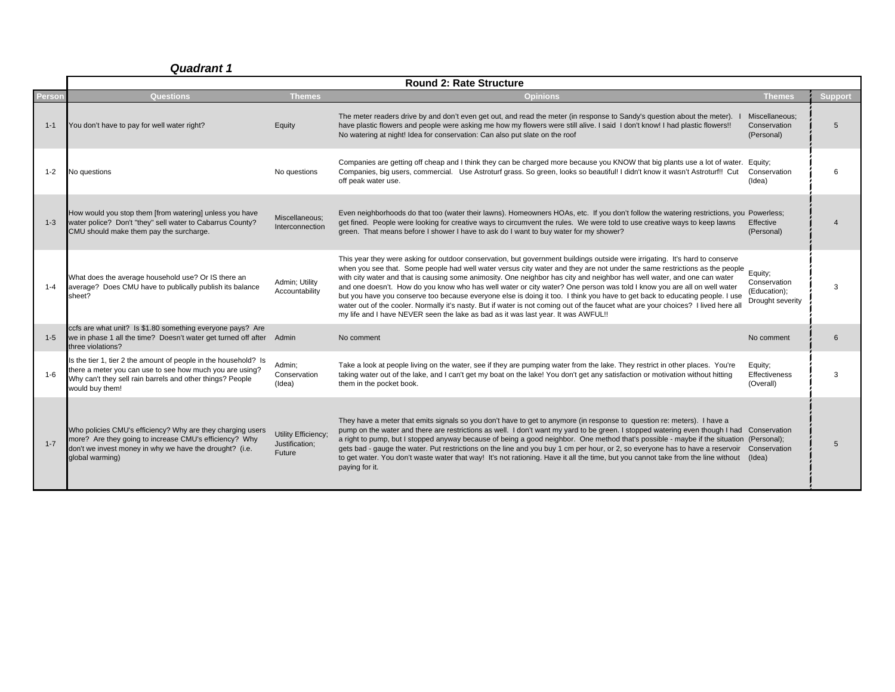|         | <b>Round 2: Rate Structure</b>                                                                                                                                                                              |                                                 |                                                                                                                                                                                                                                                                                                                                                                                                                                                                                                                                                                                                                                                                                                                                                                                                                                                                              |                                                             |                |  |  |
|---------|-------------------------------------------------------------------------------------------------------------------------------------------------------------------------------------------------------------|-------------------------------------------------|------------------------------------------------------------------------------------------------------------------------------------------------------------------------------------------------------------------------------------------------------------------------------------------------------------------------------------------------------------------------------------------------------------------------------------------------------------------------------------------------------------------------------------------------------------------------------------------------------------------------------------------------------------------------------------------------------------------------------------------------------------------------------------------------------------------------------------------------------------------------------|-------------------------------------------------------------|----------------|--|--|
| Person  | Questions                                                                                                                                                                                                   | <b>Themes</b>                                   | <b>Opinions</b>                                                                                                                                                                                                                                                                                                                                                                                                                                                                                                                                                                                                                                                                                                                                                                                                                                                              | <b>Themes</b>                                               | <b>Support</b> |  |  |
| $1 - 1$ | You don't have to pay for well water right?                                                                                                                                                                 | Equity                                          | The meter readers drive by and don't even get out, and read the meter (in response to Sandy's question about the meter).<br>have plastic flowers and people were asking me how my flowers were still alive. I said I don't know! I had plastic flowers!!<br>No watering at night! Idea for conservation: Can also put slate on the roof                                                                                                                                                                                                                                                                                                                                                                                                                                                                                                                                      | Miscellaneous;<br>Conservation<br>(Personal)                | 5              |  |  |
| $1 - 2$ | No questions                                                                                                                                                                                                | No questions                                    | Companies are getting off cheap and I think they can be charged more because you KNOW that big plants use a lot of water. Equity;<br>Companies, big users, commercial. Use Astroturf grass. So green, looks so beautiful! I didn't know it wasn't Astroturf!! Cut<br>off peak water use.                                                                                                                                                                                                                                                                                                                                                                                                                                                                                                                                                                                     | Conservation<br>(Idea)                                      | 6              |  |  |
| $1 - 3$ | How would you stop them [from watering] unless you have<br>water police? Don't "they" sell water to Cabarrus County?<br>CMU should make them pay the surcharge.                                             | Miscellaneous;<br>Interconnection               | Even neighborhoods do that too (water their lawns). Homeowners HOAs, etc. If you don't follow the watering restrictions, you Powerless;<br>get fined. People were looking for creative ways to circumvent the rules. We were told to use creative ways to keep lawns<br>green. That means before I shower I have to ask do I want to buy water for my shower?                                                                                                                                                                                                                                                                                                                                                                                                                                                                                                                | Effective<br>(Personal)                                     |                |  |  |
| $1 - 4$ | What does the average household use? Or IS there an<br>average? Does CMU have to publically publish its balance<br>sheet?                                                                                   | Admin; Utility<br>Accountability                | This year they were asking for outdoor conservation, but government buildings outside were irrigating. It's hard to conserve<br>when you see that. Some people had well water versus city water and they are not under the same restrictions as the people<br>with city water and that is causing some animosity. One neighbor has city and neighbor has well water, and one can water<br>and one doesn't. How do you know who has well water or city water? One person was told I know you are all on well water<br>but you have you conserve too because everyone else is doing it too. I think you have to get back to educating people. I use<br>water out of the cooler. Normally it's nasty. But if water is not coming out of the faucet what are your choices? I lived here all<br>my life and I have NEVER seen the lake as bad as it was last year. It was AWFUL!! | Equity;<br>Conservation<br>(Education);<br>Drought severity | 3              |  |  |
| $1 - 5$ | ccfs are what unit? Is \$1.80 something everyone pays? Are<br>we in phase 1 all the time? Doesn't water get turned off after Admin<br>three violations?                                                     |                                                 | No comment                                                                                                                                                                                                                                                                                                                                                                                                                                                                                                                                                                                                                                                                                                                                                                                                                                                                   | No comment                                                  | 6              |  |  |
| $1 - 6$ | Is the tier 1, tier 2 the amount of people in the household? Is<br>there a meter you can use to see how much you are using?<br>Why can't they sell rain barrels and other things? People<br>would buy them! | Admin;<br>Conservation<br>(Idea)                | Take a look at people living on the water, see if they are pumping water from the lake. They restrict in other places. You're<br>taking water out of the lake, and I can't get my boat on the lake! You don't get any satisfaction or motivation without hitting<br>them in the pocket book.                                                                                                                                                                                                                                                                                                                                                                                                                                                                                                                                                                                 | Equity:<br><b>Effectiveness</b><br>(Overall)                | 3              |  |  |
| $1 - 7$ | Who policies CMU's efficiency? Why are they charging users<br>more? Are they going to increase CMU's efficiency? Why<br>don't we invest money in why we have the drought? (i.e.<br>global warming)          | Utility Efficiency;<br>Justification;<br>Future | They have a meter that emits signals so you don't have to get to anymore (in response to question re: meters). I have a<br>pump on the water and there are restrictions as well. I don't want my yard to be green. I stopped watering even though I had Conservation<br>a right to pump, but I stopped anyway because of being a good neighbor. One method that's possible - maybe if the situation (Personal);<br>gets bad - gauge the water. Put restrictions on the line and you buy 1 cm per hour, or 2, so everyone has to have a reservoir<br>to get water. You don't waste water that way! It's not rationing. Have it all the time, but you cannot take from the line without (Idea)<br>paying for it.                                                                                                                                                               | Conservation                                                | 5              |  |  |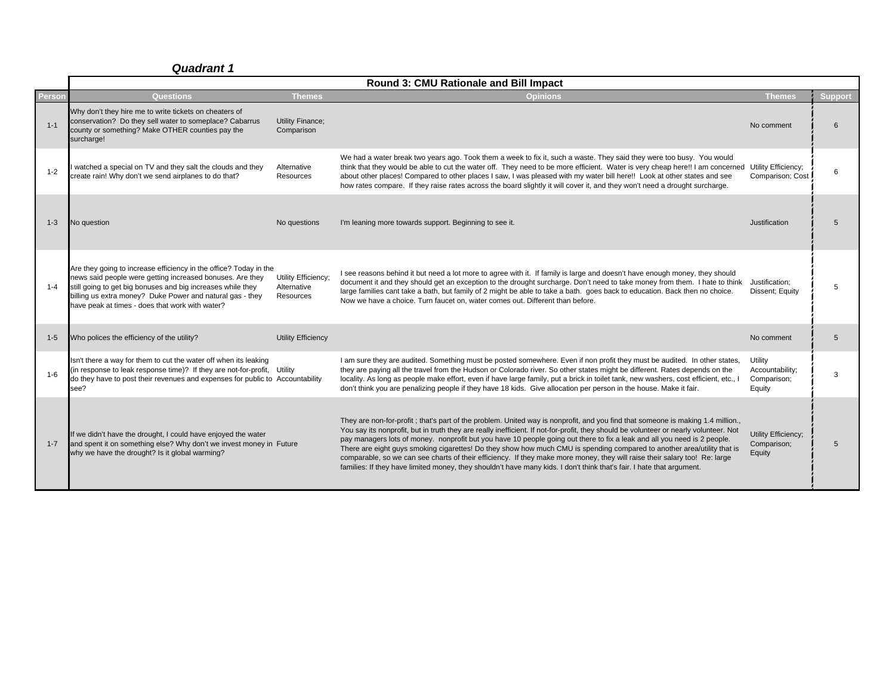|               | Round 3: CMU Rationale and Bill Impact                                                                                                                                                                                                                                                                        |                                                 |                                                                                                                                                                                                                                                                                                                                                                                                                                                                                                                                                                                                                                                                                                                                                                                        |                                                     |         |  |
|---------------|---------------------------------------------------------------------------------------------------------------------------------------------------------------------------------------------------------------------------------------------------------------------------------------------------------------|-------------------------------------------------|----------------------------------------------------------------------------------------------------------------------------------------------------------------------------------------------------------------------------------------------------------------------------------------------------------------------------------------------------------------------------------------------------------------------------------------------------------------------------------------------------------------------------------------------------------------------------------------------------------------------------------------------------------------------------------------------------------------------------------------------------------------------------------------|-----------------------------------------------------|---------|--|
| <b>Person</b> | Questions                                                                                                                                                                                                                                                                                                     | <b>Themes</b>                                   | <b>Opinions</b>                                                                                                                                                                                                                                                                                                                                                                                                                                                                                                                                                                                                                                                                                                                                                                        | Themes                                              | Support |  |
| $1 - 1$       | Why don't they hire me to write tickets on cheaters of<br>conservation? Do they sell water to someplace? Cabarrus<br>county or something? Make OTHER counties pay the<br>surcharge!                                                                                                                           | <b>Utility Finance:</b><br>Comparison           |                                                                                                                                                                                                                                                                                                                                                                                                                                                                                                                                                                                                                                                                                                                                                                                        | No comment                                          | 6       |  |
| $1 - 2$       | watched a special on TV and they salt the clouds and they<br>create rain! Why don't we send airplanes to do that?                                                                                                                                                                                             | Alternative<br>Resources                        | We had a water break two years ago. Took them a week to fix it, such a waste. They said they were too busy. You would<br>think that they would be able to cut the water off. They need to be more efficient. Water is very cheap here!! I am concerned Utility Efficiency;<br>about other places! Compared to other places I saw, I was pleased with my water bill here!! Look at other states and see<br>how rates compare. If they raise rates across the board slightly it will cover it, and they won't need a drought surcharge.                                                                                                                                                                                                                                                  | Comparison; Cost                                    | 6       |  |
| $1 - 3$       | No question                                                                                                                                                                                                                                                                                                   | No questions                                    | I'm leaning more towards support. Beginning to see it.                                                                                                                                                                                                                                                                                                                                                                                                                                                                                                                                                                                                                                                                                                                                 | Justification                                       | 5       |  |
| $1 - 4$       | Are they going to increase efficiency in the office? Today in the<br>news said people were getting increased bonuses. Are they<br>still going to get big bonuses and big increases while they<br>billing us extra money? Duke Power and natural gas - they<br>have peak at times - does that work with water? | Utility Efficiency:<br>Alternative<br>Resources | I see reasons behind it but need a lot more to agree with it. If family is large and doesn't have enough money, they should<br>document it and they should get an exception to the drought surcharge. Don't need to take money from them. I hate to think<br>large families cant take a bath, but family of 2 might be able to take a bath. goes back to education. Back then no choice.<br>Now we have a choice. Turn faucet on, water comes out. Different than before.                                                                                                                                                                                                                                                                                                              | Justification;<br>Dissent; Equity                   | 5       |  |
| $1 - 5$       | Who polices the efficiency of the utility?                                                                                                                                                                                                                                                                    | <b>Utility Efficiency</b>                       |                                                                                                                                                                                                                                                                                                                                                                                                                                                                                                                                                                                                                                                                                                                                                                                        | No comment                                          | 5       |  |
| $1 - 6$       | Isn't there a way for them to cut the water off when its leaking<br>(in response to leak response time)? If they are not-for-profit, Utility<br>do they have to post their revenues and expenses for public to Accountability<br>see?                                                                         |                                                 | I am sure they are audited. Something must be posted somewhere. Even if non profit they must be audited. In other states,<br>they are paying all the travel from the Hudson or Colorado river. So other states might be different. Rates depends on the<br>locality. As long as people make effort, even if have large family, put a brick in toilet tank, new washers, cost efficient, etc., I<br>don't think you are penalizing people if they have 18 kids. Give allocation per person in the house. Make it fair.                                                                                                                                                                                                                                                                  | Utility<br>Accountability:<br>Comparison;<br>Equity | 3       |  |
| $1 - 7$       | If we didn't have the drought, I could have enjoyed the water<br>and spent it on something else? Why don't we invest money in Future<br>why we have the drought? Is it global warming?                                                                                                                        |                                                 | They are non-for-profit; that's part of the problem. United way is nonprofit, and you find that someone is making 1.4 million.,<br>You say its nonprofit, but in truth they are really inefficient. If not-for-profit, they should be volunteer or nearly volunteer. Not<br>pay managers lots of money. nonprofit but you have 10 people going out there to fix a leak and all you need is 2 people.<br>There are eight guys smoking cigarettes! Do they show how much CMU is spending compared to another area/utility that is<br>comparable, so we can see charts of their efficiency. If they make more money, they will raise their salary too! Re: large<br>families: If they have limited money, they shouldn't have many kids. I don't think that's fair. I hate that argument. | Utility Efficiency;<br>Comparison;<br>Equity        | 5       |  |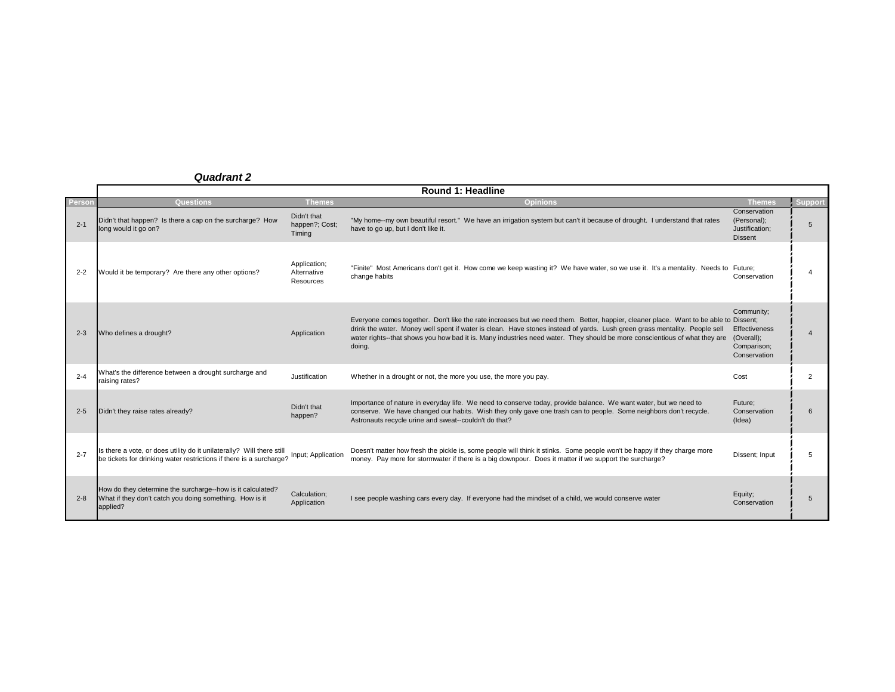|         | Round 1: Headline                                                                                                                                            |                                          |                                                                                                                                                                                                                                                                                                                                                                                                            |                                                                          |                |  |  |  |
|---------|--------------------------------------------------------------------------------------------------------------------------------------------------------------|------------------------------------------|------------------------------------------------------------------------------------------------------------------------------------------------------------------------------------------------------------------------------------------------------------------------------------------------------------------------------------------------------------------------------------------------------------|--------------------------------------------------------------------------|----------------|--|--|--|
| Person  | <b>Questions</b>                                                                                                                                             | <b>Themes</b>                            | <b>Opinions</b>                                                                                                                                                                                                                                                                                                                                                                                            | <b>Themes</b>                                                            | <b>Support</b> |  |  |  |
| $2 - 1$ | Didn't that happen? Is there a cap on the surcharge? How<br>long would it go on?                                                                             | Didn't that<br>happen?; Cost;<br>Timing  | "My home--my own beautiful resort." We have an irrigation system but can't it because of drought. I understand that rates<br>have to go up, but I don't like it.                                                                                                                                                                                                                                           | Conservation<br>(Personal);<br>Justification;<br><b>Dissent</b>          | 5              |  |  |  |
| $2 - 2$ | Would it be temporary? Are there any other options?                                                                                                          | Application;<br>Alternative<br>Resources | "Finite" Most Americans don't get it. How come we keep wasting it? We have water, so we use it. It's a mentality. Needs to Future;<br>change habits                                                                                                                                                                                                                                                        | Conservation                                                             |                |  |  |  |
| $2 - 3$ | Who defines a drought?                                                                                                                                       | Application                              | Everyone comes together. Don't like the rate increases but we need them. Better, happier, cleaner place. Want to be able to Dissent;<br>drink the water. Money well spent if water is clean. Have stones instead of yards. Lush green grass mentality. People sell<br>water rights--that shows you how bad it is. Many industries need water. They should be more conscientious of what they are<br>doing. | Community;<br>Effectiveness<br>(Overall);<br>Comparison;<br>Conservation |                |  |  |  |
| $2 - 4$ | What's the difference between a drought surcharge and<br>raising rates?                                                                                      | Justification                            | Whether in a drought or not, the more you use, the more you pay.                                                                                                                                                                                                                                                                                                                                           | Cost                                                                     | 2              |  |  |  |
| $2 - 5$ | Didn't they raise rates already?                                                                                                                             | Didn't that<br>happen?                   | Importance of nature in everyday life. We need to conserve today, provide balance. We want water, but we need to<br>conserve. We have changed our habits. Wish they only gave one trash can to people. Some neighbors don't recycle.<br>Astronauts recycle urine and sweat--couldn't do that?                                                                                                              | Future;<br>Conservation<br>(Idea)                                        | 6              |  |  |  |
| $2 - 7$ | Is there a vote, or does utility do it unilaterally? Will there still be tickets for drinking water restrictions if there is a surcharge? Input; Application |                                          | Doesn't matter how fresh the pickle is, some people will think it stinks. Some people won't be happy if they charge more<br>money. Pay more for stormwater if there is a big downpour. Does it matter if we support the surcharge?                                                                                                                                                                         | Dissent; Input                                                           | 5.             |  |  |  |
| $2 - 8$ | How do they determine the surcharge--how is it calculated?<br>What if they don't catch you doing something. How is it<br>applied?                            | Calculation;<br>Application              | I see people washing cars every day. If everyone had the mindset of a child, we would conserve water                                                                                                                                                                                                                                                                                                       | Equity;<br>Conservation                                                  | 5              |  |  |  |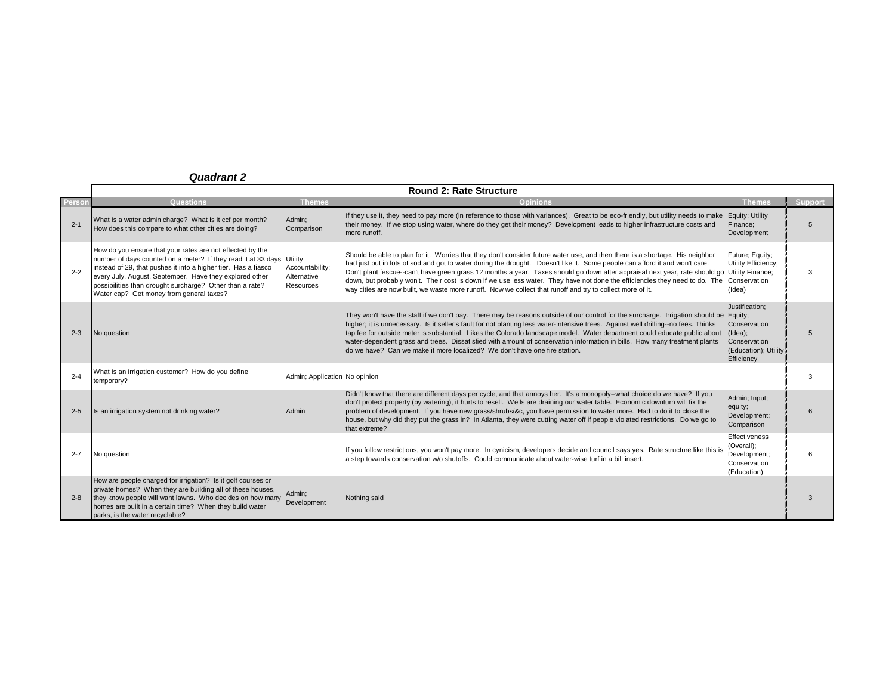|         | <b>Round 2: Rate Structure</b>                                                                                                                                                                                                                                                                                                                                          |                                             |                                                                                                                                                                                                                                                                                                                                                                                                                                                                                                                                                                                                                                                         |                                                                                                        |                 |  |
|---------|-------------------------------------------------------------------------------------------------------------------------------------------------------------------------------------------------------------------------------------------------------------------------------------------------------------------------------------------------------------------------|---------------------------------------------|---------------------------------------------------------------------------------------------------------------------------------------------------------------------------------------------------------------------------------------------------------------------------------------------------------------------------------------------------------------------------------------------------------------------------------------------------------------------------------------------------------------------------------------------------------------------------------------------------------------------------------------------------------|--------------------------------------------------------------------------------------------------------|-----------------|--|
| Person  | <b>Questions</b>                                                                                                                                                                                                                                                                                                                                                        | <b>Themes</b>                               | <b>Opinions</b>                                                                                                                                                                                                                                                                                                                                                                                                                                                                                                                                                                                                                                         | <b>Themes</b>                                                                                          | <b>Support</b>  |  |
| $2 - 1$ | What is a water admin charge? What is it ccf per month?<br>How does this compare to what other cities are doing?                                                                                                                                                                                                                                                        | Admin:<br>Comparison                        | If they use it, they need to pay more (in reference to those with variances). Great to be eco-friendly, but utility needs to make<br>their money. If we stop using water, where do they get their money? Development leads to higher infrastructure costs and<br>more runoff.                                                                                                                                                                                                                                                                                                                                                                           | Equity; Utility<br>Finance:<br>Development                                                             | 5               |  |
| $2 - 2$ | How do you ensure that your rates are not effected by the<br>number of days counted on a meter? If they read it at 33 days Utility<br>instead of 29, that pushes it into a higher tier. Has a fiasco<br>every July, August, September. Have they explored other<br>possibilities than drought surcharge? Other than a rate?<br>Water cap? Get money from general taxes? | Accountability;<br>Alternative<br>Resources | Should be able to plan for it. Worries that they don't consider future water use, and then there is a shortage. His neighbor<br>had just put in lots of sod and got to water during the drought. Doesn't like it. Some people can afford it and won't care.<br>Don't plant fescue--can't have green grass 12 months a year. Taxes should go down after appraisal next year, rate should go Utility Finance;<br>down, but probably won't. Their cost is down if we use less water. They have not done the efficiencies they need to do. The<br>way cities are now built, we waste more runoff. Now we collect that runoff and try to collect more of it. | Future; Equity;<br>Utility Efficiency;<br>Conservation<br>(Idea)                                       | 3               |  |
| $2 - 3$ | No question                                                                                                                                                                                                                                                                                                                                                             |                                             | They won't have the staff if we don't pay. There may be reasons outside of our control for the surcharge. Irrigation should be Equity;<br>higher; it is unnecessary. Is it seller's fault for not planting less water-intensive trees. Against well drilling--no fees. Thinks<br>tap fee for outside meter is substantial. Likes the Colorado landscape model. Water department could educate public about<br>water-dependent grass and trees. Dissatisfied with amount of conservation information in bills. How many treatment plants<br>do we have? Can we make it more localized? We don't have one fire station.                                   | Justification;<br>Conservation<br>$($ ldea $)$ ;<br>Conservation<br>(Education); Utility<br>Efficiency | $5\overline{)}$ |  |
| $2 - 4$ | What is an irrigation customer? How do you define<br>temporary?                                                                                                                                                                                                                                                                                                         | Admin; Application No opinion               |                                                                                                                                                                                                                                                                                                                                                                                                                                                                                                                                                                                                                                                         |                                                                                                        | 3               |  |
| $2 - 5$ | Is an irrigation system not drinking water?                                                                                                                                                                                                                                                                                                                             | Admin                                       | Didn't know that there are different days per cycle, and that annoys her. It's a monopoly--what choice do we have? If you<br>don't protect property (by watering), it hurts to resell. Wells are draining our water table. Economic downturn will fix the<br>problem of development. If you have new grass/shrubs/&c, you have permission to water more. Had to do it to close the<br>house, but why did they put the grass in? In Atlanta, they were cutting water off if people violated restrictions. Do we go to<br>that extreme?                                                                                                                   | Admin; Input;<br>equity;<br>Development;<br>Comparison                                                 | հ               |  |
| $2 - 7$ | No question                                                                                                                                                                                                                                                                                                                                                             |                                             | If you follow restrictions, you won't pay more. In cynicism, developers decide and council says yes. Rate structure like this is<br>a step towards conservation w/o shutoffs. Could communicate about water-wise turf in a bill insert.                                                                                                                                                                                                                                                                                                                                                                                                                 | Effectiveness<br>(Overall);<br>Development;<br>Conservation<br>(Education)                             | 6               |  |
| $2 - 8$ | How are people charged for irrigation? Is it golf courses or<br>private homes? When they are building all of these houses,<br>they know people will want lawns. Who decides on how many<br>homes are built in a certain time? When they build water<br>parks, is the water recyclable?                                                                                  | Admin:<br>Development                       | Nothing said                                                                                                                                                                                                                                                                                                                                                                                                                                                                                                                                                                                                                                            |                                                                                                        | $\mathcal{R}$   |  |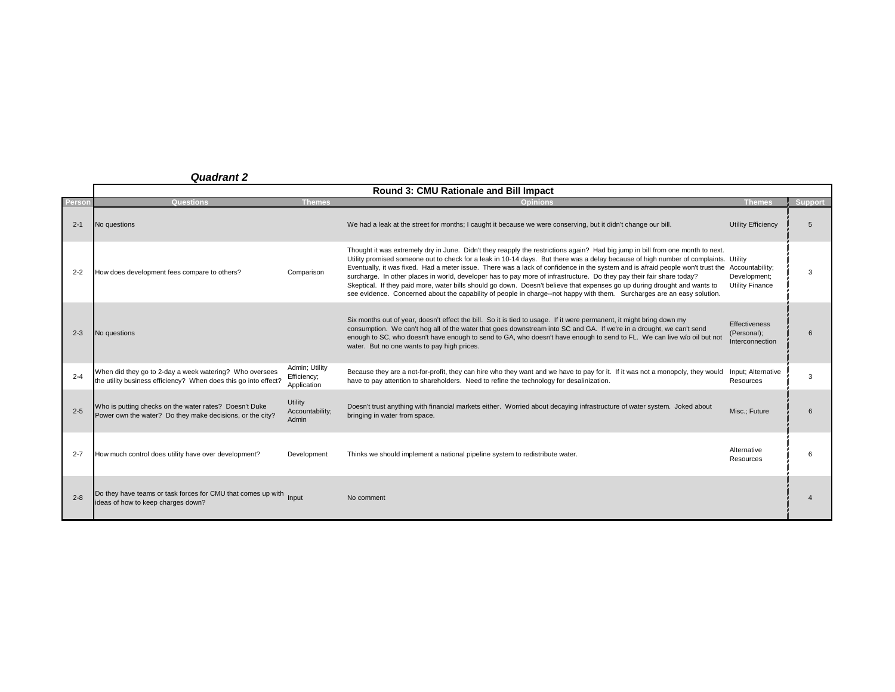|         | Round 3: CMU Rationale and Bill Impact                                                                                     |                                              |                                                                                                                                                                                                                                                                                                                                                                                                                                                                                                                                                                                                                                                                                                                                                                                                          |                                                 |                |  |  |
|---------|----------------------------------------------------------------------------------------------------------------------------|----------------------------------------------|----------------------------------------------------------------------------------------------------------------------------------------------------------------------------------------------------------------------------------------------------------------------------------------------------------------------------------------------------------------------------------------------------------------------------------------------------------------------------------------------------------------------------------------------------------------------------------------------------------------------------------------------------------------------------------------------------------------------------------------------------------------------------------------------------------|-------------------------------------------------|----------------|--|--|
| Person  | Questions                                                                                                                  | <b>Themes</b>                                | <b>Opinions</b>                                                                                                                                                                                                                                                                                                                                                                                                                                                                                                                                                                                                                                                                                                                                                                                          | Themes                                          | <b>Support</b> |  |  |
| $2 - 1$ | No questions                                                                                                               |                                              | We had a leak at the street for months; I caught it because we were conserving, but it didn't change our bill.                                                                                                                                                                                                                                                                                                                                                                                                                                                                                                                                                                                                                                                                                           | <b>Utility Efficiency</b>                       | 5              |  |  |
| $2 - 2$ | How does development fees compare to others?                                                                               | Comparison                                   | Thought it was extremely dry in June. Didn't they reapply the restrictions again? Had big jump in bill from one month to next.<br>Utility promised someone out to check for a leak in 10-14 days. But there was a delay because of high number of complaints. Utility<br>Eventually, it was fixed. Had a meter issue. There was a lack of confidence in the system and is afraid people won't trust the Accountability;<br>surcharge. In other places in world, developer has to pay more of infrastructure. Do they pay their fair share today?<br>Skeptical. If they paid more, water bills should go down. Doesn't believe that expenses go up during drought and wants to<br>see evidence. Concerned about the capability of people in charge--not happy with them. Surcharges are an easy solution. | Development;<br><b>Utility Finance</b>          | 3              |  |  |
| $2 - 3$ | No questions                                                                                                               |                                              | Six months out of year, doesn't effect the bill. So it is tied to usage. If it were permanent, it might bring down my<br>consumption. We can't hog all of the water that goes downstream into SC and GA. If we're in a drought, we can't send<br>enough to SC, who doesn't have enough to send to GA, who doesn't have enough to send to FL. We can live w/o oil but not<br>water. But no one wants to pay high prices.                                                                                                                                                                                                                                                                                                                                                                                  | Effectiveness<br>(Personal);<br>Interconnection | 6              |  |  |
| $2 - 4$ | When did they go to 2-day a week watering? Who oversees<br>the utility business efficiency? When does this go into effect? | Admin; Utility<br>Efficiency;<br>Application | Because they are a not-for-profit, they can hire who they want and we have to pay for it. If it was not a monopoly, they would<br>have to pay attention to shareholders. Need to refine the technology for desalinization.                                                                                                                                                                                                                                                                                                                                                                                                                                                                                                                                                                               | Input: Alternative<br>Resources                 | 3              |  |  |
| $2 - 5$ | Who is putting checks on the water rates? Doesn't Duke<br>Power own the water? Do they make decisions, or the city?        | <b>Utility</b><br>Accountability;<br>Admin   | Doesn't trust anything with financial markets either. Worried about decaying infrastructure of water system. Joked about<br>bringing in water from space.                                                                                                                                                                                                                                                                                                                                                                                                                                                                                                                                                                                                                                                | Misc.; Future                                   | 6              |  |  |
| $2 - 7$ | How much control does utility have over development?                                                                       | Development                                  | Thinks we should implement a national pipeline system to redistribute water.                                                                                                                                                                                                                                                                                                                                                                                                                                                                                                                                                                                                                                                                                                                             | Alternative<br>Resources                        | 6              |  |  |
| $2 - 8$ | Do they have teams or task forces for CMU that comes up with Input<br>ideas of how to keep charges down?                   |                                              | No comment                                                                                                                                                                                                                                                                                                                                                                                                                                                                                                                                                                                                                                                                                                                                                                                               |                                                 | 4              |  |  |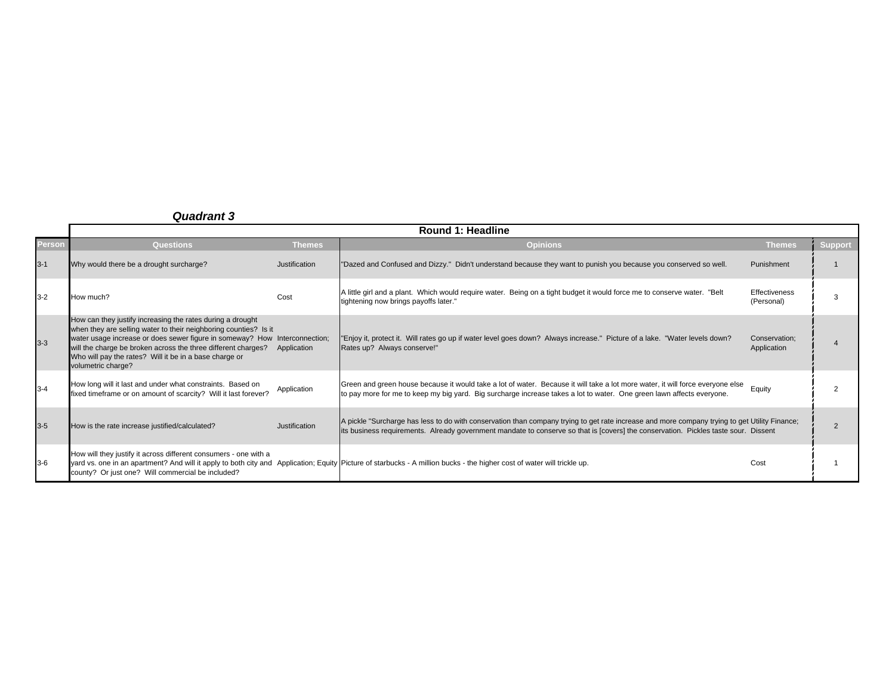|         | <b>Round 1: Headline</b>                                                                                                                                                                                                                                                                                                                                      |               |                                                                                                                                                                                                                                                                                      |                                    |                |  |  |
|---------|---------------------------------------------------------------------------------------------------------------------------------------------------------------------------------------------------------------------------------------------------------------------------------------------------------------------------------------------------------------|---------------|--------------------------------------------------------------------------------------------------------------------------------------------------------------------------------------------------------------------------------------------------------------------------------------|------------------------------------|----------------|--|--|
| Person  | <b>Questions</b>                                                                                                                                                                                                                                                                                                                                              | <b>Themes</b> | <b>Opinions</b>                                                                                                                                                                                                                                                                      | <b>Themes</b>                      | <b>Support</b> |  |  |
| $3 - 1$ | Why would there be a drought surcharge?                                                                                                                                                                                                                                                                                                                       | Justification | "Dazed and Confused and Dizzy." Didn't understand because they want to punish you because you conserved so well.                                                                                                                                                                     | Punishment                         |                |  |  |
| $3 - 2$ | How much?                                                                                                                                                                                                                                                                                                                                                     | Cost          | A little girl and a plant. Which would require water. Being on a tight budget it would force me to conserve water. "Belt<br>tightening now brings payoffs later."                                                                                                                    | <b>Effectiveness</b><br>(Personal) |                |  |  |
| $3 - 3$ | How can they justify increasing the rates during a drought<br>when they are selling water to their neighboring counties? Is it<br>water usage increase or does sewer figure in someway? How Interconnection;<br>will the charge be broken across the three different charges?<br>Who will pay the rates? Will it be in a base charge or<br>volumetric charge? | Application   | "Enjoy it, protect it. Will rates go up if water level goes down? Always increase." Picture of a lake. "Water levels down?<br>Rates up? Always conserve!"                                                                                                                            | Conservation:<br>Application       |                |  |  |
| $3 - 4$ | How long will it last and under what constraints. Based on<br>fixed timeframe or on amount of scarcity? Will it last forever?                                                                                                                                                                                                                                 | Application   | Green and green house because it would take a lot of water. Because it will take a lot more water, it will force everyone else<br>to pay more for me to keep my big yard. Big surcharge increase takes a lot to water. One green lawn affects everyone.                              | Equity                             |                |  |  |
| $3 - 5$ | How is the rate increase justified/calculated?                                                                                                                                                                                                                                                                                                                | Justification | A pickle "Surcharge has less to do with conservation than company trying to get rate increase and more company trying to get Utility Finance;<br>its business requirements. Already government mandate to conserve so that is [covers] the conservation. Pickles taste sour. Dissent |                                    |                |  |  |
| $3-6$   | How will they justify it across different consumers - one with a<br>county? Or just one? Will commercial be included?                                                                                                                                                                                                                                         |               | yard vs. one in an apartment? And will it apply to both city and Application; Equity Picture of starbucks - A million bucks - the higher cost of water will trickle up.                                                                                                              | Cost                               |                |  |  |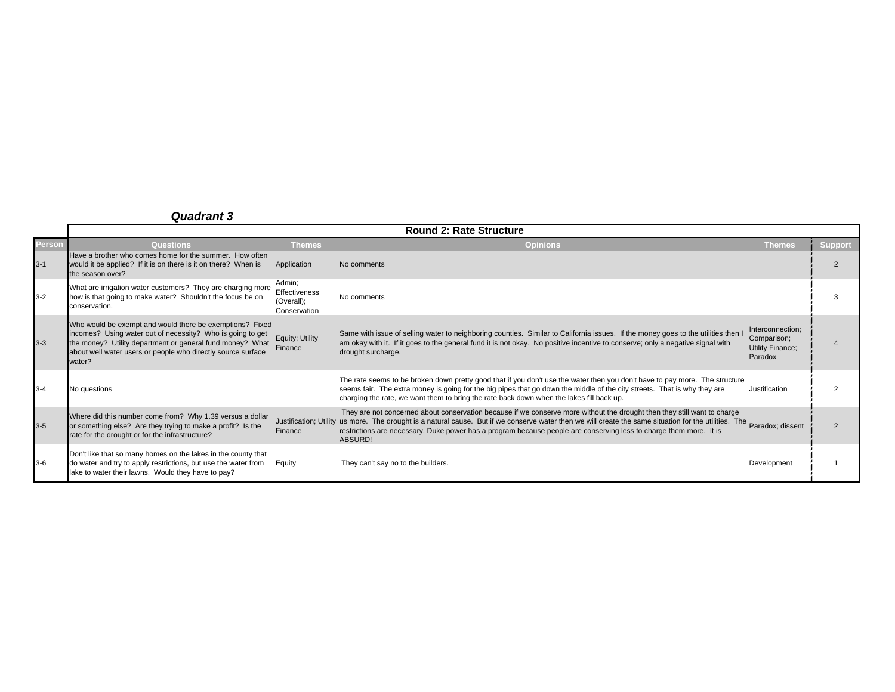|               |                                                                                                                                                                                                                                                               | <b>Round 2: Rate Structure</b>                        |                                                                                                                                                                                                                                                                                                                                                                                                                                             |                                                                |                |  |
|---------------|---------------------------------------------------------------------------------------------------------------------------------------------------------------------------------------------------------------------------------------------------------------|-------------------------------------------------------|---------------------------------------------------------------------------------------------------------------------------------------------------------------------------------------------------------------------------------------------------------------------------------------------------------------------------------------------------------------------------------------------------------------------------------------------|----------------------------------------------------------------|----------------|--|
| <b>Person</b> | <b>Questions</b>                                                                                                                                                                                                                                              | <b>Themes</b>                                         | <b>Opinions</b>                                                                                                                                                                                                                                                                                                                                                                                                                             | <b>Themes</b>                                                  | <b>Support</b> |  |
| $3 - 1$       | Have a brother who comes home for the summer. How often<br>would it be applied? If it is on there is it on there? When is<br>the season over?                                                                                                                 | Application                                           | No comments                                                                                                                                                                                                                                                                                                                                                                                                                                 |                                                                | $\mathfrak{p}$ |  |
| $3 - 2$       | What are irrigation water customers? They are charging more<br>how is that going to make water? Shouldn't the focus be on<br>conservation.                                                                                                                    | Admin;<br>Effectiveness<br>(Overall);<br>Conservation | No comments                                                                                                                                                                                                                                                                                                                                                                                                                                 |                                                                | 3              |  |
| $3 - 3$       | Who would be exempt and would there be exemptions? Fixed<br>incomes? Using water out of necessity? Who is going to get<br>the money? Utility department or general fund money? What<br>about well water users or people who directly source surface<br>water? | Equity; Utility<br>Finance                            | Same with issue of selling water to neighboring counties. Similar to California issues. If the money goes to the utilities then I<br>am okay with it. If it goes to the general fund it is not okay. No positive incentive to conserve; only a negative signal with<br>drought surcharge.                                                                                                                                                   | Interconnection:<br>Comparison;<br>Utility Finance;<br>Paradox |                |  |
| $3 - 4$       | No questions                                                                                                                                                                                                                                                  |                                                       | The rate seems to be broken down pretty good that if you don't use the water then you don't have to pay more. The structure<br>seems fair. The extra money is going for the big pipes that go down the middle of the city streets. That is why they are<br>charging the rate, we want them to bring the rate back down when the lakes fill back up.                                                                                         | Justification                                                  |                |  |
| $3 - 5$       | Where did this number come from? Why 1.39 versus a dollar<br>or something else? Are they trying to make a profit? Is the<br>rate for the drought or for the infrastructure?                                                                                   | Finance                                               | They are not concerned about conservation because if we conserve more without the drought then they still want to charge<br>Justification; Utility us more. The drought is a natural cause. But if we conserve water then we will create the same situation for the utilities. The Paradox; dissent<br>restrictions are necessary. Duke power has a program because people are conserving less to charge them more. It is<br><b>ABSURD!</b> |                                                                | $\overline{2}$ |  |
| $3-6$         | Don't like that so many homes on the lakes in the county that<br>do water and try to apply restrictions, but use the water from<br>lake to water their lawns. Would they have to pay?                                                                         | Equity                                                | They can't say no to the builders.                                                                                                                                                                                                                                                                                                                                                                                                          | Development                                                    |                |  |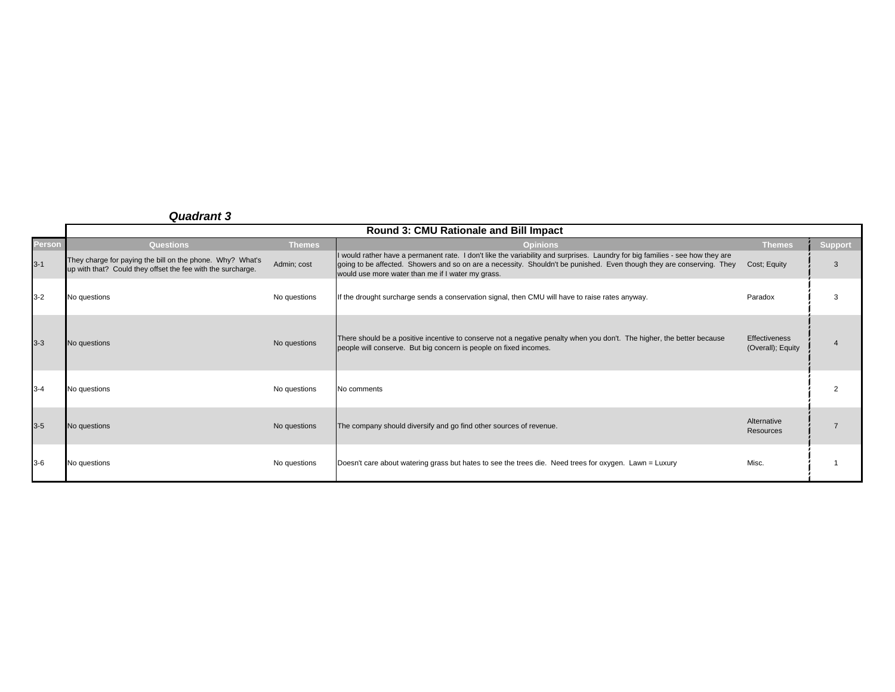|               |                                                                                                                          |               | Round 3: CMU Rationale and Bill Impact                                                                                                                                                                                                                                                                       |                                           |                |
|---------------|--------------------------------------------------------------------------------------------------------------------------|---------------|--------------------------------------------------------------------------------------------------------------------------------------------------------------------------------------------------------------------------------------------------------------------------------------------------------------|-------------------------------------------|----------------|
| <b>Person</b> | <b>Questions</b>                                                                                                         | <b>Themes</b> | <b>Opinions</b>                                                                                                                                                                                                                                                                                              | <b>Themes</b>                             | <b>Support</b> |
| $3 - 1$       | They charge for paying the bill on the phone. Why? What's<br>up with that? Could they offset the fee with the surcharge. | Admin; cost   | If would rather have a permanent rate. I don't like the variability and surprises. Laundry for big families - see how they are<br>going to be affected. Showers and so on are a necessity. Shouldn't be punished. Even though they are conserving. They<br>would use more water than me if I water my grass. | Cost; Equity                              |                |
| $3 - 2$       | No questions                                                                                                             | No questions  | If the drought surcharge sends a conservation signal, then CMU will have to raise rates anyway.                                                                                                                                                                                                              | Paradox                                   | 3              |
| $3 - 3$       | No questions                                                                                                             | No questions  | There should be a positive incentive to conserve not a negative penalty when you don't. The higher, the better because<br>people will conserve. But big concern is people on fixed incomes.                                                                                                                  | <b>Effectiveness</b><br>(Overall); Equity |                |
| $3 - 4$       | No questions                                                                                                             | No questions  | No comments                                                                                                                                                                                                                                                                                                  |                                           | $\overline{2}$ |
| $3-5$         | No questions                                                                                                             | No questions  | The company should diversify and go find other sources of revenue.                                                                                                                                                                                                                                           | Alternative<br>Resources                  |                |
| $3-6$         | No questions                                                                                                             | No questions  | Doesn't care about watering grass but hates to see the trees die. Need trees for oxygen. Lawn = Luxury                                                                                                                                                                                                       | Misc.                                     |                |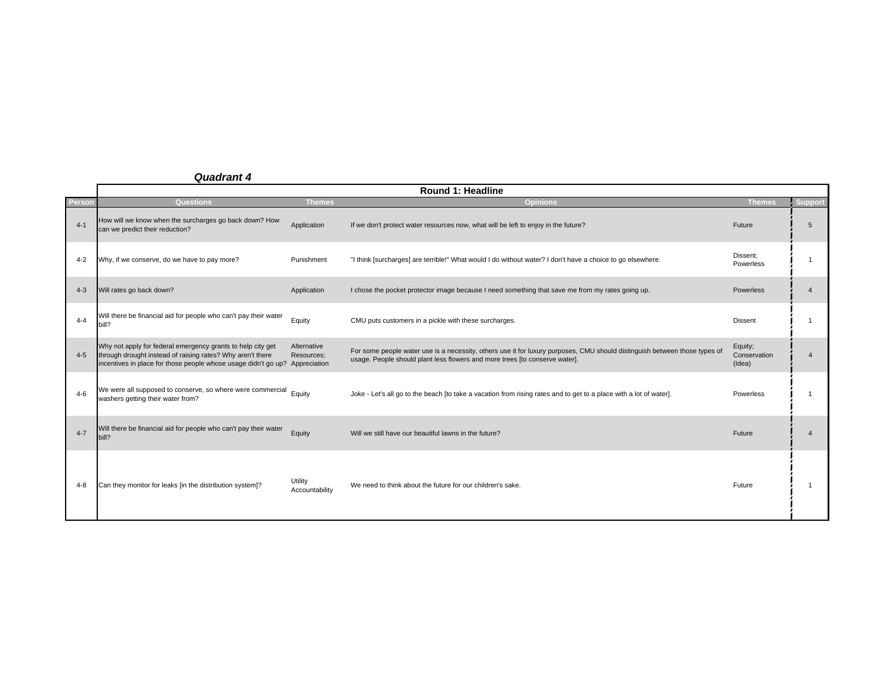|               | <b>Round 1: Headline</b>                                                                                                                                                                                 |                           |                                                                                                                                                                                                           |                                   |                |  |  |
|---------------|----------------------------------------------------------------------------------------------------------------------------------------------------------------------------------------------------------|---------------------------|-----------------------------------------------------------------------------------------------------------------------------------------------------------------------------------------------------------|-----------------------------------|----------------|--|--|
| <b>Person</b> | Questions                                                                                                                                                                                                | <b>Themes</b>             | <b>Opinions</b>                                                                                                                                                                                           | <b>Themes</b>                     | <b>Support</b> |  |  |
| $4-1$         | How will we know when the surcharges go back down? How<br>can we predict their reduction?                                                                                                                | Application               | If we don't protect water resources now, what will be left to enjoy in the future?                                                                                                                        | Future                            | 5              |  |  |
| $4 - 2$       | Why, if we conserve, do we have to pay more?                                                                                                                                                             | Punishment                | "I think [surcharges] are terrible!" What would I do without water? I don't have a choice to go elsewhere.                                                                                                | Dissent:<br>Powerless             |                |  |  |
| $4 - 3$       | Will rates go back down?                                                                                                                                                                                 | Application               | I chose the pocket protector image because I need something that save me from my rates going up.                                                                                                          | <b>Powerless</b>                  |                |  |  |
| $4 - 4$       | Will there be financial aid for people who can't pay their water<br>bill?                                                                                                                                | Equity                    | CMU puts customers in a pickle with these surcharges.                                                                                                                                                     | <b>Dissent</b>                    |                |  |  |
| $4 - 5$       | Why not apply for federal emergency grants to help city get<br>through drought instead of raising rates? Why aren't there<br>incentives in place for those people whose usage didn't go up? Appreciation | Alternative<br>Resources: | For some people water use is a necessity, others use it for luxury purposes, CMU should distinguish between those types of<br>usage. People should plant less flowers and more trees [to conserve water]. | Equity;<br>Conservation<br>(Idea) |                |  |  |
| $4-6$         | We were all supposed to conserve, so where were commercial<br>washers getting their water from?                                                                                                          | Equity                    | Joke - Let's all go to the beach [to take a vacation from rising rates and to get to a place with a lot of water].                                                                                        | Powerless                         |                |  |  |
| $4 - 7$       | Will there be financial aid for people who can't pay their water<br>bill?                                                                                                                                | Equity                    | Will we still have our beautiful lawns in the future?                                                                                                                                                     | Future                            |                |  |  |
| 4-8           | Can they monitor for leaks [in the distribution system]?                                                                                                                                                 | Utility<br>Accountability | We need to think about the future for our children's sake.                                                                                                                                                | Future                            |                |  |  |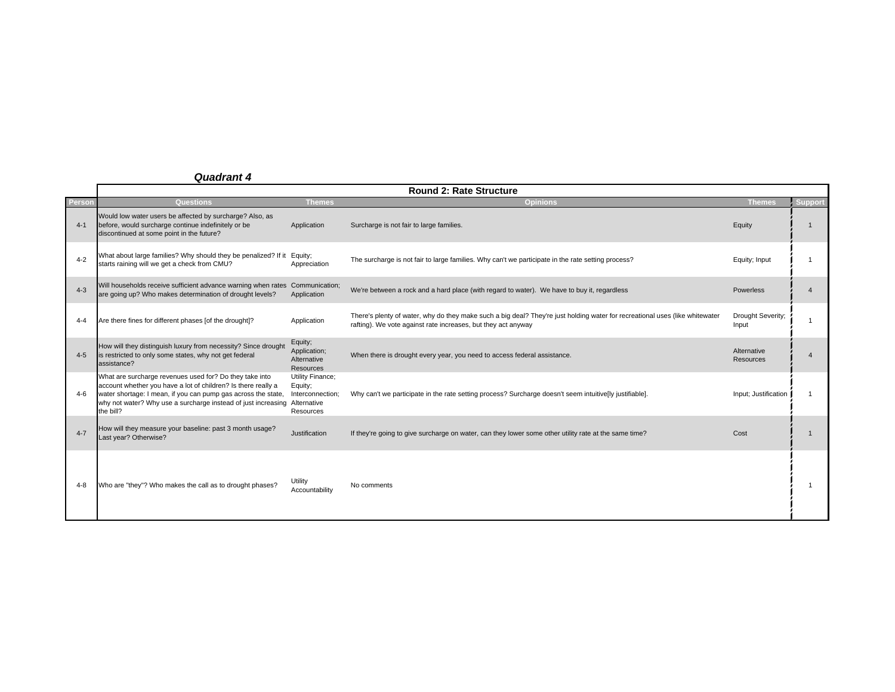|         | <b>Round 2: Rate Structure</b>                                                                                                                                                                                                                                                      |                                                              |                                                                                                                                                                                               |                            |                |  |  |
|---------|-------------------------------------------------------------------------------------------------------------------------------------------------------------------------------------------------------------------------------------------------------------------------------------|--------------------------------------------------------------|-----------------------------------------------------------------------------------------------------------------------------------------------------------------------------------------------|----------------------------|----------------|--|--|
| Person  | Questions                                                                                                                                                                                                                                                                           | Themes                                                       | <b>Opinions</b>                                                                                                                                                                               | <b>Themes</b>              | <b>Support</b> |  |  |
| $4 - 1$ | Would low water users be affected by surcharge? Also, as<br>before, would surcharge continue indefinitely or be<br>discontinued at some point in the future?                                                                                                                        | Application                                                  | Surcharge is not fair to large families.                                                                                                                                                      | Equity                     |                |  |  |
| $4 - 2$ | What about large families? Why should they be penalized? If it Equity;<br>starts raining will we get a check from CMU?                                                                                                                                                              | Appreciation                                                 | The surcharge is not fair to large families. Why can't we participate in the rate setting process?                                                                                            | Equity; Input              |                |  |  |
| $4 - 3$ | Will households receive sufficient advance warning when rates Communication;<br>are going up? Who makes determination of drought levels?                                                                                                                                            | Application                                                  | We're between a rock and a hard place (with regard to water). We have to buy it, regardless                                                                                                   | <b>Powerless</b>           |                |  |  |
| $4 - 4$ | Are there fines for different phases [of the drought]?                                                                                                                                                                                                                              | Application                                                  | There's plenty of water, why do they make such a big deal? They're just holding water for recreational uses (like whitewater<br>rafting). We vote against rate increases, but they act anyway | Drought Severity:<br>Input |                |  |  |
| $4 - 5$ | How will they distinguish luxury from necessity? Since drought<br>is restricted to only some states, why not get federal<br>assistance?                                                                                                                                             | Equity;<br>Application;<br>Alternative<br><b>Resources</b>   | When there is drought every year, you need to access federal assistance.                                                                                                                      | Alternative<br>Resources   |                |  |  |
| $4-6$   | What are surcharge revenues used for? Do they take into<br>account whether you have a lot of children? Is there really a<br>water shortage: I mean, if you can pump gas across the state,<br>why not water? Why use a surcharge instead of just increasing Alternative<br>the bill? | Utility Finance;<br>Equity;<br>Interconnection;<br>Resources | Why can't we participate in the rate setting process? Surcharge doesn't seem intuitive[ly justifiable].                                                                                       | Input; Justification       |                |  |  |
| $4 - 7$ | How will they measure your baseline: past 3 month usage?<br>Last year? Otherwise?                                                                                                                                                                                                   | Justification                                                | If they're going to give surcharge on water, can they lower some other utility rate at the same time?                                                                                         | Cost                       |                |  |  |
| 4-8     | Who are "they"? Who makes the call as to drought phases?                                                                                                                                                                                                                            | Utility<br>Accountability                                    | No comments                                                                                                                                                                                   |                            |                |  |  |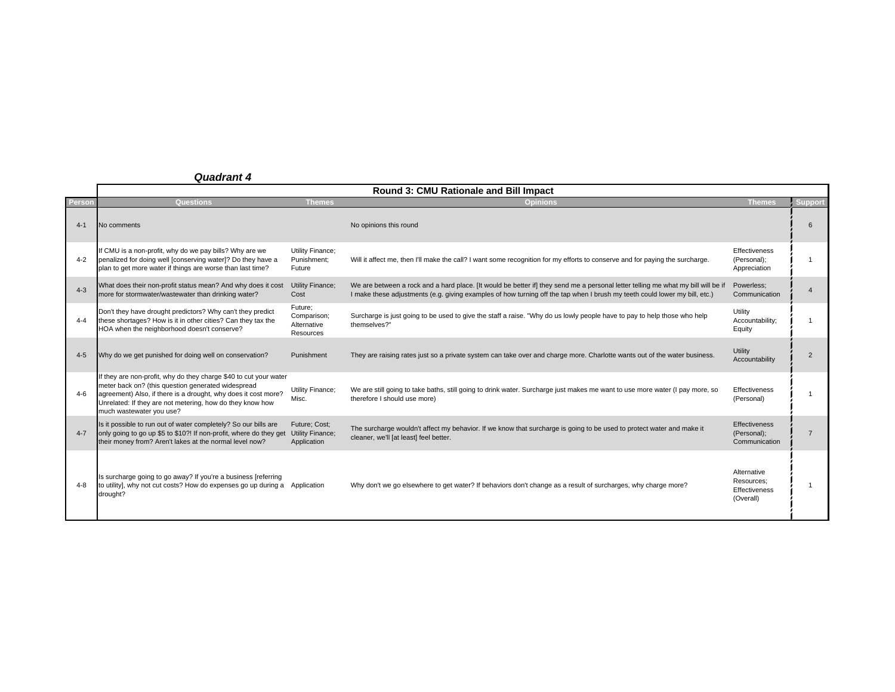|         | Round 3: CMU Rationale and Bill Impact                                                                                                                                                                                                                                             |                                                    |                                                                                                                                                                                                                                                                 |                                                         |                |  |
|---------|------------------------------------------------------------------------------------------------------------------------------------------------------------------------------------------------------------------------------------------------------------------------------------|----------------------------------------------------|-----------------------------------------------------------------------------------------------------------------------------------------------------------------------------------------------------------------------------------------------------------------|---------------------------------------------------------|----------------|--|
| Persor  | Questions                                                                                                                                                                                                                                                                          | <b>Themes</b>                                      | <b>Opinions</b>                                                                                                                                                                                                                                                 | <b>Themes</b>                                           | Support        |  |
| $4 - 1$ | No comments                                                                                                                                                                                                                                                                        |                                                    | No opinions this round                                                                                                                                                                                                                                          |                                                         | 6              |  |
| $4 - 2$ | If CMU is a non-profit, why do we pay bills? Why are we<br>penalized for doing well [conserving water]? Do they have a<br>plan to get more water if things are worse than last time?                                                                                               | Utility Finance;<br>Punishment:<br>Future          | Will it affect me, then I'll make the call? I want some recognition for my efforts to conserve and for paying the surcharge.                                                                                                                                    | Effectiveness<br>(Personal);<br>Appreciation            |                |  |
| $4 - 3$ | What does their non-profit status mean? And why does it cost<br>more for stormwater/wastewater than drinking water?                                                                                                                                                                | <b>Utility Finance:</b><br>Cost                    | We are between a rock and a hard place. [It would be better if] they send me a personal letter telling me what my bill will be if<br>I make these adjustments (e.g. giving examples of how turning off the tap when I brush my teeth could lower my bill, etc.) | Powerless;<br>Communication                             |                |  |
| $4 - 4$ | Don't they have drought predictors? Why can't they predict<br>these shortages? How is it in other cities? Can they tax the<br>HOA when the neighborhood doesn't conserve?                                                                                                          | Future;<br>Comparison;<br>Alternative<br>Resources | Surcharge is just going to be used to give the staff a raise. "Why do us lowly people have to pay to help those who help<br>themselves?"                                                                                                                        | Utility<br>Accountability:<br>Equity                    |                |  |
| $4 - 5$ | Why do we get punished for doing well on conservation?                                                                                                                                                                                                                             | Punishment                                         | They are raising rates just so a private system can take over and charge more. Charlotte wants out of the water business.                                                                                                                                       | Utility<br>Accountability                               | $\overline{2}$ |  |
| $4-6$   | If they are non-profit, why do they charge \$40 to cut your water<br>meter back on? (this question generated widespread<br>agreement) Also, if there is a drought, why does it cost more?<br>Unrelated: If they are not metering, how do they know how<br>much wastewater you use? | Utility Finance;<br>Misc.                          | We are still going to take baths, still going to drink water. Surcharge just makes me want to use more water (I pay more, so<br>therefore I should use more)                                                                                                    | Effectiveness<br>(Personal)                             |                |  |
| $4 - 7$ | Is it possible to run out of water completely? So our bills are<br>only going to go up \$5 to \$10?! If non-profit, where do they get<br>their money from? Aren't lakes at the normal level now?                                                                                   | Future: Cost:<br>Utility Finance;<br>Application   | The surcharge wouldn't affect my behavior. If we know that surcharge is going to be used to protect water and make it<br>cleaner, we'll [at least] feel better.                                                                                                 | Effectiveness<br>(Personal);<br>Communication           | $\overline{7}$ |  |
| $4 - 8$ | Is surcharge going to go away? If you're a business [referring<br>to utility], why not cut costs? How do expenses go up during a Application<br>drought?                                                                                                                           |                                                    | Why don't we go elsewhere to get water? If behaviors don't change as a result of surcharges, why charge more?                                                                                                                                                   | Alternative<br>Resources:<br>Effectiveness<br>(Overall) |                |  |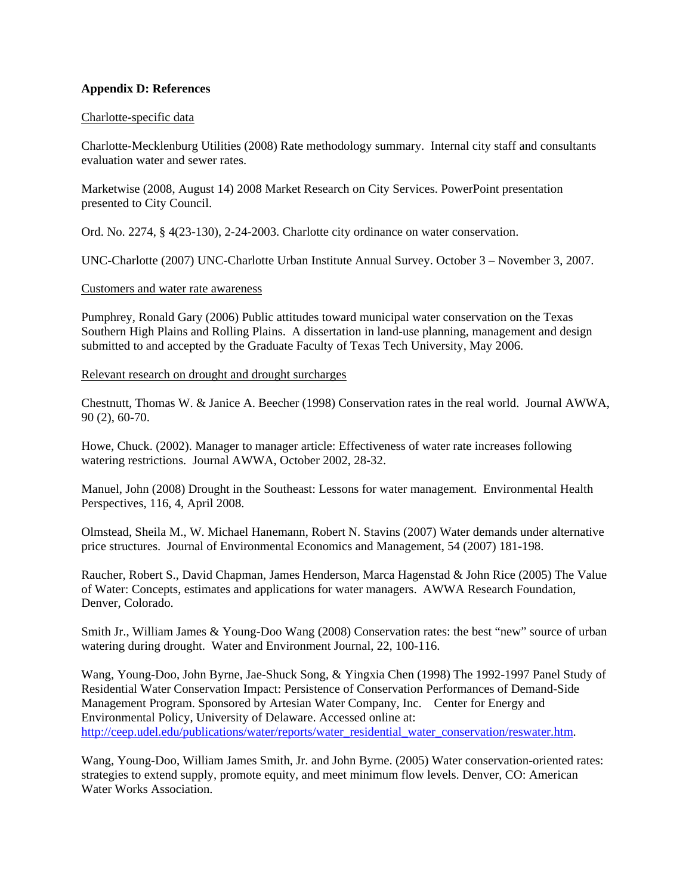#### **Appendix D: References**

#### Charlotte-specific data

Charlotte-Mecklenburg Utilities (2008) Rate methodology summary. Internal city staff and consultants evaluation water and sewer rates.

Marketwise (2008, August 14) 2008 Market Research on City Services. PowerPoint presentation presented to City Council.

Ord. No. 2274, § 4(23-130), 2-24-2003. Charlotte city ordinance on water conservation.

UNC-Charlotte (2007) UNC-Charlotte Urban Institute Annual Survey. October 3 – November 3, 2007.

#### Customers and water rate awareness

Pumphrey, Ronald Gary (2006) Public attitudes toward municipal water conservation on the Texas Southern High Plains and Rolling Plains. A dissertation in land-use planning, management and design submitted to and accepted by the Graduate Faculty of Texas Tech University, May 2006.

#### Relevant research on drought and drought surcharges

Chestnutt, Thomas W. & Janice A. Beecher (1998) Conservation rates in the real world. Journal AWWA, 90 (2), 60-70.

Howe, Chuck. (2002). Manager to manager article: Effectiveness of water rate increases following watering restrictions. Journal AWWA, October 2002, 28-32.

Manuel, John (2008) Drought in the Southeast: Lessons for water management. Environmental Health Perspectives, 116, 4, April 2008.

Olmstead, Sheila M., W. Michael Hanemann, Robert N. Stavins (2007) Water demands under alternative price structures. Journal of Environmental Economics and Management, 54 (2007) 181-198.

Raucher, Robert S., David Chapman, James Henderson, Marca Hagenstad & John Rice (2005) The Value of Water: Concepts, estimates and applications for water managers. AWWA Research Foundation, Denver, Colorado.

Smith Jr., William James & Young-Doo Wang (2008) Conservation rates: the best "new" source of urban watering during drought. Water and Environment Journal, 22, 100-116.

Wang, Young-Doo, John Byrne, Jae-Shuck Song, & Yingxia Chen (1998) The 1992-1997 Panel Study of Residential Water Conservation Impact: Persistence of Conservation Performances of Demand-Side Management Program. Sponsored by Artesian Water Company, Inc. Center for Energy and Environmental Policy, University of Delaware. Accessed online at: http://ceep.udel.edu/publications/water/reports/water\_residential\_water\_conservation/reswater.htm.

Wang, Young-Doo, William James Smith, Jr. and John Byrne. (2005) Water conservation-oriented rates: strategies to extend supply, promote equity, and meet minimum flow levels. Denver, CO: American Water Works Association.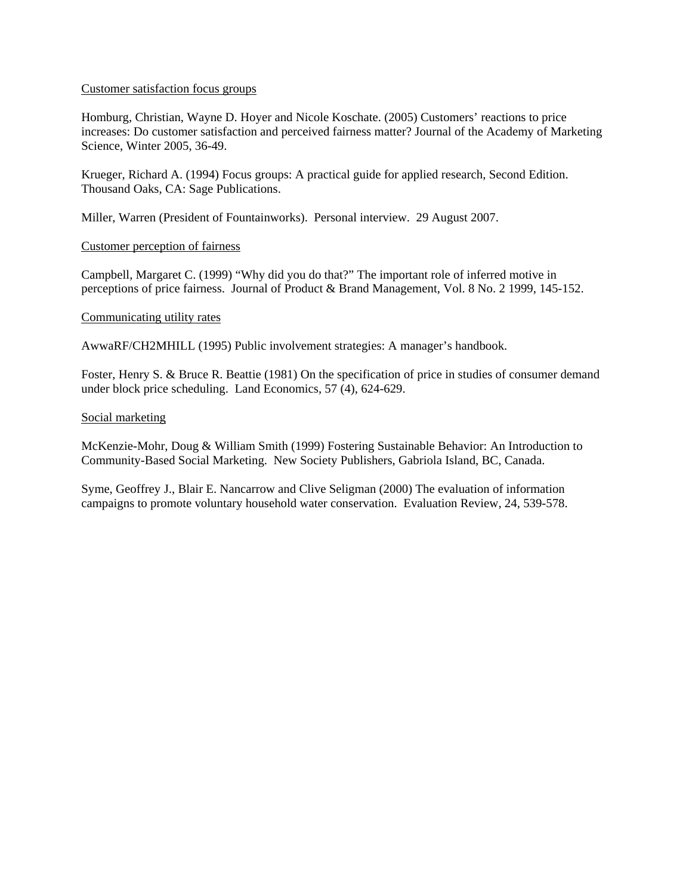#### Customer satisfaction focus groups

Homburg, Christian, Wayne D. Hoyer and Nicole Koschate. (2005) Customers' reactions to price increases: Do customer satisfaction and perceived fairness matter? Journal of the Academy of Marketing Science, Winter 2005, 36-49.

Krueger, Richard A. (1994) Focus groups: A practical guide for applied research, Second Edition. Thousand Oaks, CA: Sage Publications.

Miller, Warren (President of Fountainworks). Personal interview. 29 August 2007.

#### Customer perception of fairness

Campbell, Margaret C. (1999) "Why did you do that?" The important role of inferred motive in perceptions of price fairness. Journal of Product & Brand Management, Vol. 8 No. 2 1999, 145-152.

#### Communicating utility rates

AwwaRF/CH2MHILL (1995) Public involvement strategies: A manager's handbook.

Foster, Henry S. & Bruce R. Beattie (1981) On the specification of price in studies of consumer demand under block price scheduling. Land Economics, 57 (4), 624-629.

#### Social marketing

McKenzie-Mohr, Doug & William Smith (1999) Fostering Sustainable Behavior: An Introduction to Community-Based Social Marketing. New Society Publishers, Gabriola Island, BC, Canada.

Syme, Geoffrey J., Blair E. Nancarrow and Clive Seligman (2000) The evaluation of information campaigns to promote voluntary household water conservation. Evaluation Review, 24, 539-578.